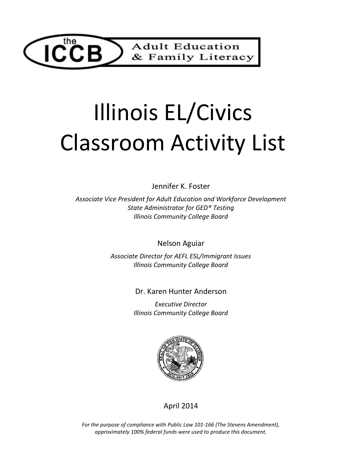**Adult Education** & Family Literacy

# Illinois EL/Civics Classroom Activity List

 $TCEB$ 

Jennifer K. Foster

*Associate Vice President for Adult Education and Workforce Development State Administrator for GED® Testing Illinois Community College Board*

Nelson Aguiar

*Associate Director for AEFL ESL/Immigrant Issues Illinois Community College Board*

# Dr. Karen Hunter Anderson

*Executive Director Illinois Community College Board*



April 2014

*For the purpose of compliance with Public Law 101-166 (The Stevens Amendment), approximately 100% federal funds were used to produce this document.*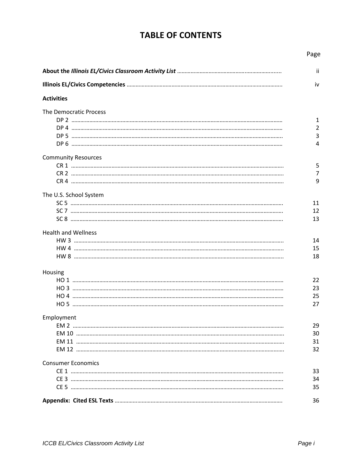# **TABLE OF CONTENTS**

# Page

|                            | ii.            |
|----------------------------|----------------|
|                            | iv             |
| <b>Activities</b>          |                |
| The Democratic Process     |                |
|                            | $\mathbf{1}$   |
|                            | $\overline{2}$ |
|                            | $\overline{3}$ |
|                            | 4              |
| <b>Community Resources</b> |                |
|                            | 5              |
|                            | $\overline{7}$ |
|                            | 9              |
| The U.S. School System     |                |
|                            | 11             |
|                            | 12             |
|                            | 13             |
| <b>Health and Wellness</b> |                |
|                            | 14             |
|                            | 15             |
|                            | 18             |
|                            |                |
| Housing                    |                |
|                            | 22             |
|                            | 23             |
|                            | 25             |
|                            | 27             |
| Employment                 |                |
|                            | 29             |
|                            | 30             |
|                            | 31             |
|                            | 32             |
| <b>Consumer Economics</b>  |                |
|                            | 33             |
|                            | 34             |
|                            | 35             |
|                            | 36             |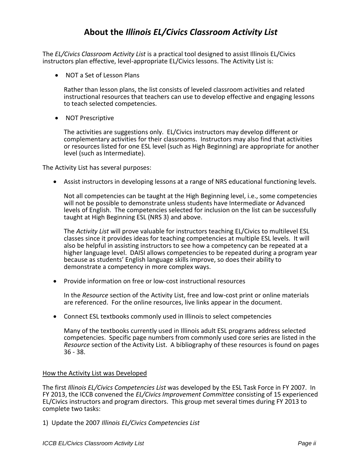# **About the** *Illinois EL/Civics Classroom Activity List*

The *EL/Civics Classroom Activity List* is a practical tool designed to assist Illinois EL/Civics instructors plan effective, level-appropriate EL/Civics lessons. The Activity List is:

• NOT a Set of Lesson Plans

Rather than lesson plans, the list consists of leveled classroom activities and related instructional resources that teachers can use to develop effective and engaging lessons to teach selected competencies.

• NOT Prescriptive

The activities are suggestions only. EL/Civics instructors may develop different or complementary activities for their classrooms. Instructors may also find that activities or resources listed for one ESL level (such as High Beginning) are appropriate for another level (such as Intermediate).

The Activity List has several purposes:

Assist instructors in developing lessons at a range of NRS educational functioning levels.

Not all competencies can be taught at the High Beginning level, i.e., some competencies will not be possible to demonstrate unless students have Intermediate or Advanced levels of English. The competencies selected for inclusion on the list can be successfully taught at High Beginning ESL (NRS 3) and above.

The *Activity List* will prove valuable for instructors teaching EL/Civics to multilevel ESL classes since it provides ideas for teaching competencies at multiple ESL levels. It will also be helpful in assisting instructors to see how a competency can be repeated at a higher language level. DAISI allows competencies to be repeated during a program year because as students' English language skills improve, so does their ability to demonstrate a competency in more complex ways.

• Provide information on free or low-cost instructional resources

In the *Resource* section of the Activity List, free and low-cost print or online materials are referenced. For the online resources, live links appear in the document.

Connect ESL textbooks commonly used in Illinois to select competencies

Many of the textbooks currently used in Illinois adult ESL programs address selected competencies. Specific page numbers from commonly used core series are listed in the *Resource* section of the Activity List. A bibliography of these resources is found on pages 36 - 38.

#### How the Activity List was Developed

The first *Illinois EL/Civics Competencies List* was developed by the ESL Task Force in FY 2007. In FY 2013, the ICCB convened the *EL/Civics Improvement Committee* consisting of 15 experienced EL/Civics instructors and program directors. This group met several times during FY 2013 to complete two tasks:

1) Update the 2007 *Illinois EL/Civics Competencies List*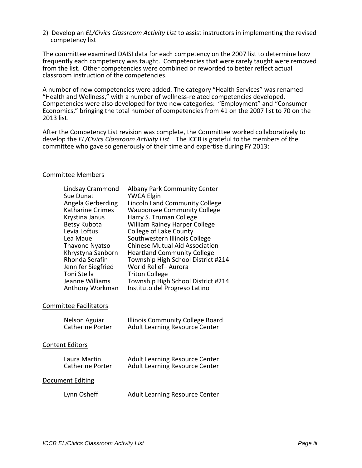#### 2) Develop an *EL/Civics Classroom Activity List* to assist instructors in implementing the revised competency list

The committee examined DAISI data for each competency on the 2007 list to determine how frequently each competency was taught. Competencies that were rarely taught were removed from the list. Other competencies were combined or reworded to better reflect actual classroom instruction of the competencies.

A number of new competencies were added. The category "Health Services" was renamed "Health and Wellness," with a number of wellness-related competencies developed. Competencies were also developed for two new categories: "Employment" and "Consumer Economics," bringing the total number of competencies from 41 on the 2007 list to 70 on the 2013 list.

After the Competency List revision was complete, the Committee worked collaboratively to develop the *EL/Civics Classroom Activity List.* The ICCB is grateful to the members of the committee who gave so generously of their time and expertise during FY 2013:

#### Committee Members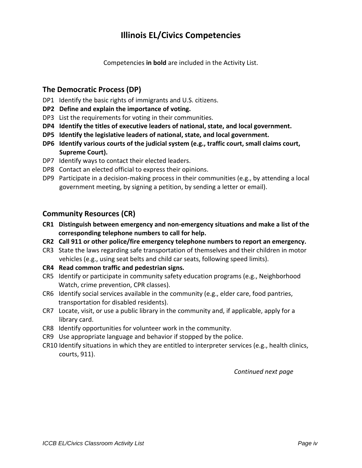# **Illinois EL/Civics Competencies**

Competencies **in bold** are included in the Activity List.

# **The Democratic Process (DP)**

- DP1 Identify the basic rights of immigrants and U.S. citizens.
- **DP2 Define and explain the importance of voting.**
- DP3 List the requirements for voting in their communities.
- **DP4 Identify the titles of executive leaders of national, state, and local government.**
- **DP5 Identify the legislative leaders of national, state, and local government.**
- **DP6 Identify various courts of the judicial system (e.g., traffic court, small claims court, Supreme Court).**
- DP7 Identify ways to contact their elected leaders.
- DP8 Contact an elected official to express their opinions.
- DP9 Participate in a decision-making process in their communities (e.g., by attending a local government meeting, by signing a petition, by sending a letter or email).

# **Community Resources (CR)**

- **CR1 Distinguish between emergency and non-emergency situations and make a list of the corresponding telephone numbers to call for help.**
- **CR2 Call 911 or other police/fire emergency telephone numbers to report an emergency.**
- CR3 State the laws regarding safe transportation of themselves and their children in motor vehicles (e.g., using seat belts and child car seats, following speed limits).
- **CR4 Read common traffic and pedestrian signs.**
- CR5 Identify or participate in community safety education programs (e.g., Neighborhood Watch, crime prevention, CPR classes).
- CR6 Identify social services available in the community (e.g., elder care, food pantries, transportation for disabled residents).
- CR7 Locate, visit, or use a public library in the community and, if applicable, apply for a library card.
- CR8 Identify opportunities for volunteer work in the community.
- CR9 Use appropriate language and behavior if stopped by the police.
- CR10 Identify situations in which they are entitled to interpreter services (e.g., health clinics, courts, 911).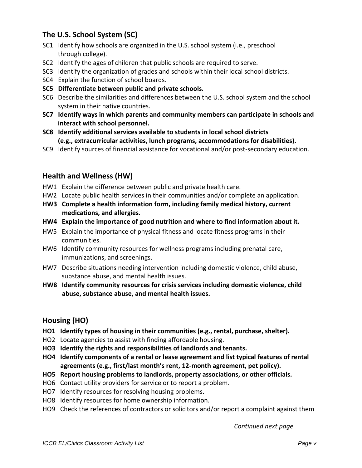- SC1 Identify how schools are organized in the U.S. school system (i.e., preschool through college).
- SC2 Identify the ages of children that public schools are required to serve.
- SC3 Identify the organization of grades and schools within their local school districts.
- SC4 Explain the function of school boards.
- **SC5 Differentiate between public and private schools.**
- SC6 Describe the similarities and differences between the U.S. school system and the school system in their native countries.
- **SC7 Identify ways in which parents and community members can participate in schools and interact with school personnel.**
- **SC8 Identify additional services available to students in local school districts (e.g., extracurricular activities, lunch programs, accommodations for disabilities).**
- SC9 Identify sources of financial assistance for vocational and/or post-secondary education.

# **Health and Wellness (HW)**

- HW1 Explain the difference between public and private health care.
- HW2 Locate public health services in their communities and/or complete an application.
- **HW3 Complete a health information form, including family medical history, current medications, and allergies.**
- **HW4 Explain the importance of good nutrition and where to find information about it.**
- HW5 Explain the importance of physical fitness and locate fitness programs in their communities.
- HW6 Identify community resources for wellness programs including prenatal care, immunizations, and screenings.
- HW7 Describe situations needing intervention including domestic violence, child abuse, substance abuse, and mental health issues.
- **HW8 Identify community resources for crisis services including domestic violence, child abuse, substance abuse, and mental health issues.**

# **Housing (HO)**

- **HO1 Identify types of housing in their communities (e.g., rental, purchase, shelter).**
- HO2 Locate agencies to assist with finding affordable housing.
- **HO3 Identify the rights and responsibilities of landlords and tenants.**
- **HO4 Identify components of a rental or lease agreement and list typical features of rental agreements (e.g., first/last month's rent, 12-month agreement, pet policy).**
- **HO5 Report housing problems to landlords, property associations, or other officials.**
- HO6 Contact utility providers for service or to report a problem.
- HO7 Identify resources for resolving housing problems.
- HO8 Identify resources for home ownership information.
- HO9 Check the references of contractors or solicitors and/or report a complaint against them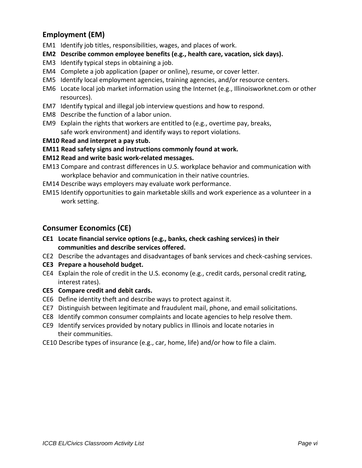- EM1 Identify job titles, responsibilities, wages, and places of work.
- **EM2 Describe common employee benefits (e.g., health care, vacation, sick days).**
- EM3 Identify typical steps in obtaining a job.
- EM4 Complete a job application (paper or online), resume, or cover letter.
- EM5 Identify local employment agencies, training agencies, and/or resource centers.
- EM6 Locate local job market information using the Internet (e.g., Illinoisworknet.com or other resources).
- EM7 Identify typical and illegal job interview questions and how to respond.
- EM8 Describe the function of a labor union.
- EM9 Explain the rights that workers are entitled to (e.g., overtime pay, breaks, safe work environment) and identify ways to report violations.
- **EM10 Read and interpret a pay stub.**
- **EM11 Read safety signs and instructions commonly found at work.**

#### **EM12 Read and write basic work-related messages.**

- EM13 Compare and contrast differences in U.S. workplace behavior and communication with workplace behavior and communication in their native countries.
- EM14 Describe ways employers may evaluate work performance.
- EM15 Identify opportunities to gain marketable skills and work experience as a volunteer in a work setting.

# **Consumer Economics (CE)**

- **CE1 Locate financial service options (e.g., banks, check cashing services) in their communities and describe services offered.**
- CE2 Describe the advantages and disadvantages of bank services and check-cashing services.
- **CE3 Prepare a household budget.**
- CE4 Explain the role of credit in the U.S. economy (e.g., credit cards, personal credit rating, interest rates).
- **CE5 Compare credit and debit cards.**
- CE6 Define identity theft and describe ways to protect against it.
- CE7 Distinguish between legitimate and fraudulent mail, phone, and email solicitations.
- CE8 Identify common consumer complaints and locate agencies to help resolve them.
- CE9 Identify services provided by notary publics in Illinois and locate notaries in their communities.
- CE10 Describe types of insurance (e.g., car, home, life) and/or how to file a claim.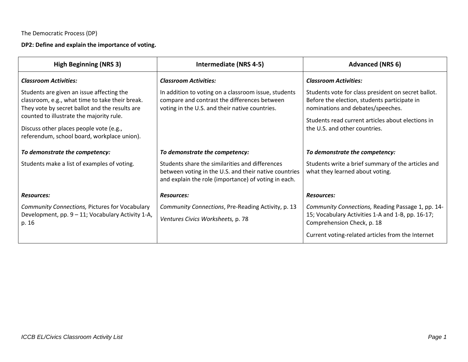# **DP2: Define and explain the importance of voting.**

| <b>High Beginning (NRS 3)</b>                                                                                                                  | Intermediate (NRS 4-5)                                                                                                                                           | <b>Advanced (NRS 6)</b>                                                                                                                  |
|------------------------------------------------------------------------------------------------------------------------------------------------|------------------------------------------------------------------------------------------------------------------------------------------------------------------|------------------------------------------------------------------------------------------------------------------------------------------|
| <b>Classroom Activities:</b>                                                                                                                   | <b>Classroom Activities:</b>                                                                                                                                     | <b>Classroom Activities:</b>                                                                                                             |
| Students are given an issue affecting the<br>classroom, e.g., what time to take their break.<br>They vote by secret ballot and the results are | In addition to voting on a classroom issue, students<br>compare and contrast the differences between<br>voting in the U.S. and their native countries.           | Students vote for class president on secret ballot.<br>Before the election, students participate in<br>nominations and debates/speeches. |
| counted to illustrate the majority rule.<br>Discuss other places people vote (e.g.,<br>referendum, school board, workplace union).             |                                                                                                                                                                  | Students read current articles about elections in<br>the U.S. and other countries.                                                       |
| To demonstrate the competency:                                                                                                                 | To demonstrate the competency:                                                                                                                                   | To demonstrate the competency:                                                                                                           |
| Students make a list of examples of voting.                                                                                                    | Students share the similarities and differences<br>between voting in the U.S. and their native countries<br>and explain the role (importance) of voting in each. | Students write a brief summary of the articles and<br>what they learned about voting.                                                    |
| <b>Resources:</b>                                                                                                                              | <b>Resources:</b>                                                                                                                                                | <b>Resources:</b>                                                                                                                        |
| Community Connections, Pictures for Vocabulary<br>Development, pp. 9 - 11; Vocabulary Activity 1-A,<br>p. 16                                   | Community Connections, Pre-Reading Activity, p. 13<br>Ventures Civics Worksheets, p. 78                                                                          | Community Connections, Reading Passage 1, pp. 14-<br>15; Vocabulary Activities 1-A and 1-B, pp. 16-17;<br>Comprehension Check, p. 18     |
|                                                                                                                                                |                                                                                                                                                                  | Current voting-related articles from the Internet                                                                                        |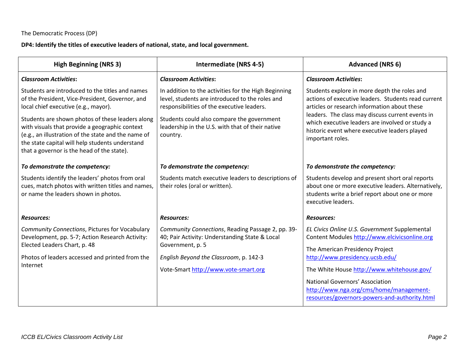**DP4: Identify the titles of executive leaders of national, state, and local government.**

| <b>High Beginning (NRS 3)</b>                                                                                                                                                                                                                              | <b>Intermediate (NRS 4-5)</b>                                                                                                                                     | <b>Advanced (NRS 6)</b>                                                                                                                                                         |
|------------------------------------------------------------------------------------------------------------------------------------------------------------------------------------------------------------------------------------------------------------|-------------------------------------------------------------------------------------------------------------------------------------------------------------------|---------------------------------------------------------------------------------------------------------------------------------------------------------------------------------|
| <b>Classroom Activities:</b>                                                                                                                                                                                                                               | <b>Classroom Activities:</b>                                                                                                                                      | <b>Classroom Activities:</b>                                                                                                                                                    |
| Students are introduced to the titles and names<br>of the President, Vice-President, Governor, and<br>local chief executive (e.g., mayor).                                                                                                                 | In addition to the activities for the High Beginning<br>level, students are introduced to the roles and<br>responsibilities of the executive leaders.             | Students explore in more depth the roles and<br>actions of executive leaders. Students read current<br>articles or research information about these                             |
| Students are shown photos of these leaders along<br>with visuals that provide a geographic context<br>(e.g., an illustration of the state and the name of<br>the state capital will help students understand<br>that a governor is the head of the state). | Students could also compare the government<br>leadership in the U.S. with that of their native<br>country.                                                        | leaders. The class may discuss current events in<br>which executive leaders are involved or study a<br>historic event where executive leaders played<br>important roles.        |
| To demonstrate the competency:                                                                                                                                                                                                                             | To demonstrate the competency:                                                                                                                                    | To demonstrate the competency:                                                                                                                                                  |
| Students identify the leaders' photos from oral<br>cues, match photos with written titles and names,<br>or name the leaders shown in photos.                                                                                                               | Students match executive leaders to descriptions of<br>their roles (oral or written).                                                                             | Students develop and present short oral reports<br>about one or more executive leaders. Alternatively,<br>students write a brief report about one or more<br>executive leaders. |
| <b>Resources:</b>                                                                                                                                                                                                                                          | <b>Resources:</b>                                                                                                                                                 | <b>Resources:</b>                                                                                                                                                               |
| Community Connections, Pictures for Vocabulary<br>Development, pp. 5-7; Action Research Activity:<br>Elected Leaders Chart, p. 48<br>Photos of leaders accessed and printed from the                                                                       | Community Connections, Reading Passage 2, pp. 39-<br>40; Pair Activity: Understanding State & Local<br>Government, p. 5<br>English Beyond the Classroom, p. 142-3 | EL Civics Online U.S. Government Supplemental<br>Content Modules http://www.elcivicsonline.org<br>The American Presidency Project<br>http://www.presidency.ucsb.edu/            |
| Internet                                                                                                                                                                                                                                                   | Vote-Smart http://www.vote-smart.org                                                                                                                              | The White House http://www.whitehouse.gov/                                                                                                                                      |
|                                                                                                                                                                                                                                                            |                                                                                                                                                                   | National Governors' Association<br>http://www.nga.org/cms/home/management-<br>resources/governors-powers-and-authority.html                                                     |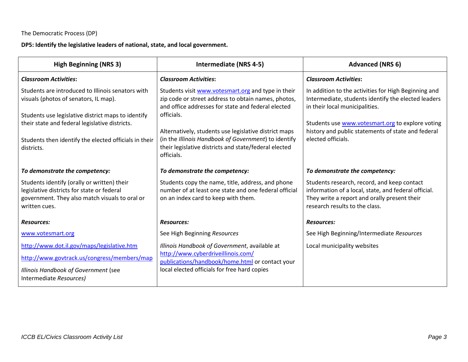#### **DP5: Identify the legislative leaders of national, state, and local government.**

| <b>High Beginning (NRS 3)</b>                                                                                                                                | <b>Intermediate (NRS 4-5)</b>                                                                                                                                   | <b>Advanced (NRS 6)</b>                                                                                                                                                               |
|--------------------------------------------------------------------------------------------------------------------------------------------------------------|-----------------------------------------------------------------------------------------------------------------------------------------------------------------|---------------------------------------------------------------------------------------------------------------------------------------------------------------------------------------|
| <b>Classroom Activities:</b>                                                                                                                                 | <b>Classroom Activities:</b>                                                                                                                                    | <b>Classroom Activities:</b>                                                                                                                                                          |
| Students are introduced to Illinois senators with<br>visuals (photos of senators, IL map).                                                                   | Students visit www.votesmart.org and type in their<br>zip code or street address to obtain names, photos,<br>and office addresses for state and federal elected | In addition to the activities for High Beginning and<br>Intermediate, students identify the elected leaders<br>in their local municipalities.                                         |
| Students use legislative district maps to identify<br>their state and federal legislative districts.                                                         | officials.<br>Alternatively, students use legislative district maps                                                                                             | Students use www.votesmart.org to explore voting<br>history and public statements of state and federal                                                                                |
| Students then identify the elected officials in their<br>districts.                                                                                          | (in the Illinois Handbook of Government) to identify<br>their legislative districts and state/federal elected<br>officials.                                     | elected officials.                                                                                                                                                                    |
| To demonstrate the competency:                                                                                                                               | To demonstrate the competency:                                                                                                                                  | To demonstrate the competency:                                                                                                                                                        |
| Students identify (orally or written) their<br>legislative districts for state or federal<br>government. They also match visuals to oral or<br>written cues. | Students copy the name, title, address, and phone<br>number of at least one state and one federal official<br>on an index card to keep with them.               | Students research, record, and keep contact<br>information of a local, state, and federal official.<br>They write a report and orally present their<br>research results to the class. |
| <b>Resources:</b>                                                                                                                                            | <b>Resources:</b>                                                                                                                                               | <b>Resources:</b>                                                                                                                                                                     |
| www.votesmart.org                                                                                                                                            | See High Beginning Resources                                                                                                                                    | See High Beginning/Intermediate Resources                                                                                                                                             |
| http://www.dot.il.gov/maps/legislative.htm                                                                                                                   | Illinois Handbook of Government, available at                                                                                                                   | Local municipality websites                                                                                                                                                           |
| http://www.govtrack.us/congress/members/map                                                                                                                  | http://www.cyberdriveillinois.com/<br>publications/handbook/home.html or contact your                                                                           |                                                                                                                                                                                       |
| Illinois Handbook of Government (see<br>Intermediate Resources)                                                                                              | local elected officials for free hard copies                                                                                                                    |                                                                                                                                                                                       |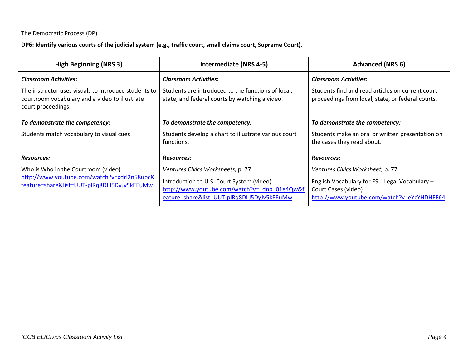#### **DP6: Identify various courts of the judicial system (e.g., traffic court, small claims court, Supreme Court).**

| <b>High Beginning (NRS 3)</b>                                                                                                | Intermediate (NRS 4-5)                                                                                                                  | <b>Advanced (NRS 6)</b>                                                                                             |
|------------------------------------------------------------------------------------------------------------------------------|-----------------------------------------------------------------------------------------------------------------------------------------|---------------------------------------------------------------------------------------------------------------------|
| <b>Classroom Activities:</b>                                                                                                 | <b>Classroom Activities:</b>                                                                                                            | <b>Classroom Activities:</b>                                                                                        |
| The instructor uses visuals to introduce students to<br>courtroom vocabulary and a video to illustrate<br>court proceedings. | Students are introduced to the functions of local,<br>state, and federal courts by watching a video.                                    | Students find and read articles on current court<br>proceedings from local, state, or federal courts.               |
| To demonstrate the competency:                                                                                               | To demonstrate the competency:                                                                                                          | To demonstrate the competency:                                                                                      |
| Students match vocabulary to visual cues                                                                                     | Students develop a chart to illustrate various court<br>functions.                                                                      | Students make an oral or written presentation on<br>the cases they read about.                                      |
| <b>Resources:</b>                                                                                                            | <b>Resources:</b>                                                                                                                       | <b>Resources:</b>                                                                                                   |
| Who is Who in the Courtroom (video)                                                                                          | Ventures Civics Worksheets, p. 77                                                                                                       | Ventures Civics Worksheet, p. 77                                                                                    |
| http://www.youtube.com/watch?v=xdrl2n58ubc&<br>feature=share&list=UUT-plRq8DLJ5DyJv5kEEuMw                                   | Introduction to U.S. Court System (video)<br>http://www.youtube.com/watch?v=_dnp_01e4Qw&f<br>eature=share&list=UUT-plRq8DLJ5DyJv5kEEuMw | English Vocabulary for ESL: Legal Vocabulary -<br>Court Cases (video)<br>http://www.youtube.com/watch?v=eYcYHDHEF64 |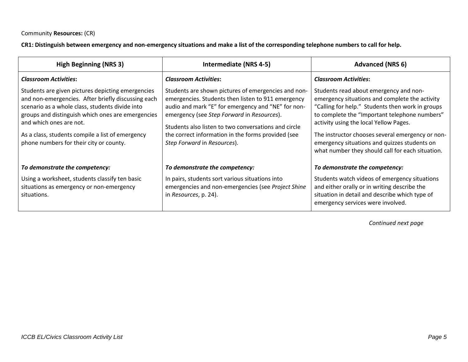**CR1: Distinguish between emergency and non-emergency situations and make a list of the corresponding telephone numbers to call for help.**

| <b>High Beginning (NRS 3)</b>                                                                                                                                                                                                                                                                                                             | <b>Intermediate (NRS 4-5)</b>                                                                                                                                                                                                                                                                                                                              | <b>Advanced (NRS 6)</b>                                                                                                                                                                                                                                                                                                                                                                         |
|-------------------------------------------------------------------------------------------------------------------------------------------------------------------------------------------------------------------------------------------------------------------------------------------------------------------------------------------|------------------------------------------------------------------------------------------------------------------------------------------------------------------------------------------------------------------------------------------------------------------------------------------------------------------------------------------------------------|-------------------------------------------------------------------------------------------------------------------------------------------------------------------------------------------------------------------------------------------------------------------------------------------------------------------------------------------------------------------------------------------------|
| <b>Classroom Activities:</b>                                                                                                                                                                                                                                                                                                              | <b>Classroom Activities:</b>                                                                                                                                                                                                                                                                                                                               | <b>Classroom Activities:</b>                                                                                                                                                                                                                                                                                                                                                                    |
| Students are given pictures depicting emergencies<br>and non-emergencies. After briefly discussing each<br>scenario as a whole class, students divide into<br>groups and distinguish which ones are emergencies<br>and which ones are not.<br>As a class, students compile a list of emergency<br>phone numbers for their city or county. | Students are shown pictures of emergencies and non-<br>emergencies. Students then listen to 911 emergency<br>audio and mark "E" for emergency and "NE" for non-<br>emergency (see Step Forward in Resources).<br>Students also listen to two conversations and circle<br>the correct information in the forms provided (see<br>Step Forward in Resources). | Students read about emergency and non-<br>emergency situations and complete the activity<br>"Calling for help." Students then work in groups<br>to complete the "Important telephone numbers"<br>activity using the local Yellow Pages.<br>The instructor chooses several emergency or non-<br>emergency situations and quizzes students on<br>what number they should call for each situation. |
| To demonstrate the competency:                                                                                                                                                                                                                                                                                                            | To demonstrate the competency:                                                                                                                                                                                                                                                                                                                             | To demonstrate the competency:                                                                                                                                                                                                                                                                                                                                                                  |
| Using a worksheet, students classify ten basic<br>situations as emergency or non-emergency<br>situations.                                                                                                                                                                                                                                 | In pairs, students sort various situations into<br>emergencies and non-emergencies (see Project Shine<br>in Resources, p. 24).                                                                                                                                                                                                                             | Students watch videos of emergency situations<br>and either orally or in writing describe the<br>situation in detail and describe which type of<br>emergency services were involved.                                                                                                                                                                                                            |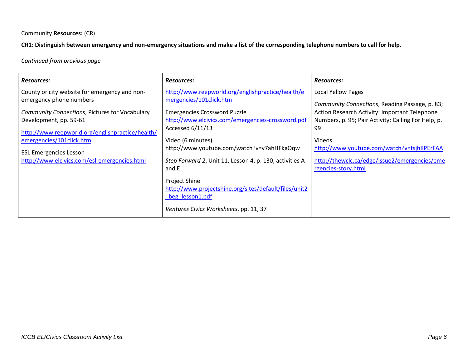**CR1: Distinguish between emergency and non-emergency situations and make a list of the corresponding telephone numbers to call for help.**

*Continued from previous page*

| <b>Resources:</b>                                                                                                          | <b>Resources:</b>                                                                                                                          | <b>Resources:</b>                                                                                                            |
|----------------------------------------------------------------------------------------------------------------------------|--------------------------------------------------------------------------------------------------------------------------------------------|------------------------------------------------------------------------------------------------------------------------------|
| County or city website for emergency and non-<br>emergency phone numbers<br>Community Connections, Pictures for Vocabulary | http://www.reepworld.org/englishpractice/health/e<br>mergencies/101click.htm<br><b>Emergencies Crossword Puzzle</b>                        | <b>Local Yellow Pages</b><br>Community Connections, Reading Passage, p. 83;<br>Action Research Activity: Important Telephone |
| Development, pp. 59-61<br>http://www.reepworld.org/englishpractice/health/<br>emergencies/101click.htm                     | http://www.elcivics.com/emergencies-crossword.pdf<br>Accessed $6/11/13$<br>Video (6 minutes)<br>http://www.youtube.com/watch?v=y7ahHFkgOqw | Numbers, p. 95; Pair Activity: Calling For Help, p.<br>99<br>Videos<br>http://www.youtube.com/watch?v=tsjhKPErFAA            |
| ESL Emergencies Lesson<br>http://www.elcivics.com/esl-emergencies.html                                                     | Step Forward 2, Unit 11, Lesson 4, p. 130, activities A<br>and E                                                                           | http://thewclc.ca/edge/issue2/emergencies/eme<br>rgencies-story.html                                                         |
|                                                                                                                            | Project Shine<br>http://www.projectshine.org/sites/default/files/unit2<br>beg lesson1.pdf                                                  |                                                                                                                              |
|                                                                                                                            | Ventures Civics Worksheets, pp. 11, 37                                                                                                     |                                                                                                                              |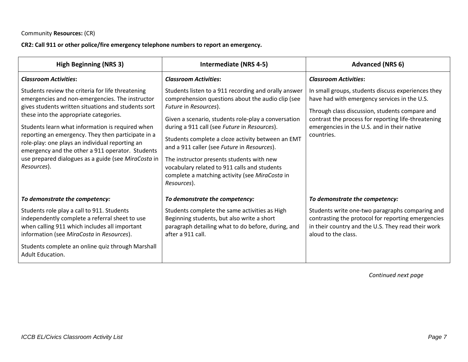**CR2: Call 911 or other police/fire emergency telephone numbers to report an emergency.**

| <b>High Beginning (NRS 3)</b>                                                                                                                                                                                                                                                                                                                                                                                                                                                                | Intermediate (NRS 4-5)                                                                                                                                                                                                                                                                                                                                                                                                                                                                                      | <b>Advanced (NRS 6)</b>                                                                                                                                                                                                                                                  |
|----------------------------------------------------------------------------------------------------------------------------------------------------------------------------------------------------------------------------------------------------------------------------------------------------------------------------------------------------------------------------------------------------------------------------------------------------------------------------------------------|-------------------------------------------------------------------------------------------------------------------------------------------------------------------------------------------------------------------------------------------------------------------------------------------------------------------------------------------------------------------------------------------------------------------------------------------------------------------------------------------------------------|--------------------------------------------------------------------------------------------------------------------------------------------------------------------------------------------------------------------------------------------------------------------------|
| <b>Classroom Activities:</b>                                                                                                                                                                                                                                                                                                                                                                                                                                                                 | <b>Classroom Activities:</b>                                                                                                                                                                                                                                                                                                                                                                                                                                                                                | <b>Classroom Activities:</b>                                                                                                                                                                                                                                             |
| Students review the criteria for life threatening<br>emergencies and non-emergencies. The instructor<br>gives students written situations and students sort<br>these into the appropriate categories.<br>Students learn what information is required when<br>reporting an emergency. They then participate in a<br>role-play: one plays an individual reporting an<br>emergency and the other a 911 operator. Students<br>use prepared dialogues as a guide (see MiraCosta in<br>Resources). | Students listen to a 911 recording and orally answer<br>comprehension questions about the audio clip (see<br>Future in Resources).<br>Given a scenario, students role-play a conversation<br>during a 911 call (see Future in Resources).<br>Students complete a cloze activity between an EMT<br>and a 911 caller (see Future in Resources).<br>The instructor presents students with new<br>vocabulary related to 911 calls and students<br>complete a matching activity (see MiraCosta in<br>Resources). | In small groups, students discuss experiences they<br>have had with emergency services in the U.S.<br>Through class discussion, students compare and<br>contrast the process for reporting life-threatening<br>emergencies in the U.S. and in their native<br>countries. |
| To demonstrate the competency:                                                                                                                                                                                                                                                                                                                                                                                                                                                               | To demonstrate the competency:                                                                                                                                                                                                                                                                                                                                                                                                                                                                              | To demonstrate the competency:                                                                                                                                                                                                                                           |
| Students role play a call to 911. Students<br>independently complete a referral sheet to use<br>when calling 911 which includes all important<br>information (see MiraCosta in Resources).<br>Students complete an online quiz through Marshall<br><b>Adult Education.</b>                                                                                                                                                                                                                   | Students complete the same activities as High<br>Beginning students, but also write a short<br>paragraph detailing what to do before, during, and<br>after a 911 call.                                                                                                                                                                                                                                                                                                                                      | Students write one-two paragraphs comparing and<br>contrasting the protocol for reporting emergencies<br>in their country and the U.S. They read their work<br>aloud to the class.                                                                                       |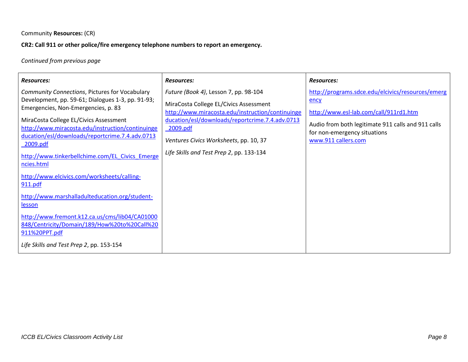#### **CR2: Call 911 or other police/fire emergency telephone numbers to report an emergency.**

#### *Continued from previous page*

| <b>Resources:</b>                                                                                                                                                                                                                                                                                                                                                        | <b>Resources:</b>                                                                                                                                                                                                                                                                        | <b>Resources:</b>                                                                                                                                                                                                |
|--------------------------------------------------------------------------------------------------------------------------------------------------------------------------------------------------------------------------------------------------------------------------------------------------------------------------------------------------------------------------|------------------------------------------------------------------------------------------------------------------------------------------------------------------------------------------------------------------------------------------------------------------------------------------|------------------------------------------------------------------------------------------------------------------------------------------------------------------------------------------------------------------|
| Community Connections, Pictures for Vocabulary<br>Development, pp. 59-61; Dialogues 1-3, pp. 91-93;<br>Emergencies, Non-Emergencies, p. 83<br>MiraCosta College EL/Civics Assessment<br>http://www.miracosta.edu/instruction/continuinge<br>ducation/esl/downloads/reportcrime.7.4.adv.0713<br>2009.pdf<br>http://www.tinkerbellchime.com/EL_Civics_Emerge<br>ncies.html | Future (Book 4), Lesson 7, pp. 98-104<br>MiraCosta College EL/Civics Assessment<br>http://www.miracosta.edu/instruction/continuinge<br>ducation/esl/downloads/reportcrime.7.4.adv.0713<br>2009.pdf<br>Ventures Civics Worksheets, pp. 10, 37<br>Life Skills and Test Prep 2, pp. 133-134 | http://programs.sdce.edu/elcivics/resources/emerg<br>ency<br>http://www.esl-lab.com/call/911rd1.htm<br>Audio from both legitimate 911 calls and 911 calls<br>for non-emergency situations<br>www.911 callers.com |
| http://www.elcivics.com/worksheets/calling-<br>911.pdf                                                                                                                                                                                                                                                                                                                   |                                                                                                                                                                                                                                                                                          |                                                                                                                                                                                                                  |
| http://www.marshalladulteducation.org/student-<br><u>lesson</u>                                                                                                                                                                                                                                                                                                          |                                                                                                                                                                                                                                                                                          |                                                                                                                                                                                                                  |
| http://www.fremont.k12.ca.us/cms/lib04/CA01000<br>848/Centricity/Domain/189/How%20to%20Call%20<br>911%20PPT.pdf                                                                                                                                                                                                                                                          |                                                                                                                                                                                                                                                                                          |                                                                                                                                                                                                                  |
| Life Skills and Test Prep 2, pp. 153-154                                                                                                                                                                                                                                                                                                                                 |                                                                                                                                                                                                                                                                                          |                                                                                                                                                                                                                  |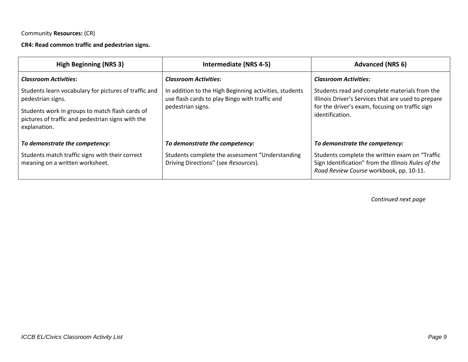**CR4: Read common traffic and pedestrian signs.**

| <b>High Beginning (NRS 3)</b>                                                                                                                                                                      | Intermediate (NRS 4-5)                                                                                                        | <b>Advanced (NRS 6)</b>                                                                                                                                                    |
|----------------------------------------------------------------------------------------------------------------------------------------------------------------------------------------------------|-------------------------------------------------------------------------------------------------------------------------------|----------------------------------------------------------------------------------------------------------------------------------------------------------------------------|
| <b>Classroom Activities:</b>                                                                                                                                                                       | <b>Classroom Activities:</b>                                                                                                  | <b>Classroom Activities:</b>                                                                                                                                               |
| Students learn vocabulary for pictures of traffic and<br>pedestrian signs.<br>Students work in groups to match flash cards of<br>pictures of traffic and pedestrian signs with the<br>explanation. | In addition to the High Beginning activities, students<br>use flash cards to play Bingo with traffic and<br>pedestrian signs. | Students read and complete materials from the<br>Illinois Driver's Services that are used to prepare<br>for the driver's exam, focusing on traffic sign<br>identification. |
| To demonstrate the competency:                                                                                                                                                                     | To demonstrate the competency:                                                                                                | To demonstrate the competency:                                                                                                                                             |
| Students match traffic signs with their correct<br>meaning on a written worksheet.                                                                                                                 | Students complete the assessment "Understanding<br>Driving Directions" (see Resources).                                       | Students complete the written exam on "Traffic<br>Sign Identification" from the Illinois Rules of the<br>Road Review Course workbook, pp. 10-11.                           |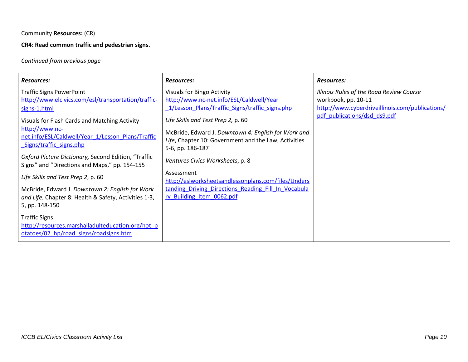**CR4: Read common traffic and pedestrian signs.**

*Continued from previous page*

| <b>Resources:</b>                                                                                    | <b>Resources:</b>                                                                                           | <b>Resources:</b>                               |
|------------------------------------------------------------------------------------------------------|-------------------------------------------------------------------------------------------------------------|-------------------------------------------------|
| <b>Traffic Signs PowerPoint</b>                                                                      | <b>Visuals for Bingo Activity</b>                                                                           | Illinois Rules of the Road Review Course        |
| http://www.elcivics.com/esl/transportation/traffic-                                                  | http://www.nc-net.info/ESL/Caldwell/Year                                                                    | workbook, pp. 10-11                             |
| signs-1.html                                                                                         | 1/Lesson Plans/Traffic Signs/traffic signs.php                                                              | http://www.cyberdriveillinois.com/publications/ |
| Visuals for Flash Cards and Matching Activity                                                        | Life Skills and Test Prep 2, p. 60                                                                          | pdf publications/dsd ds9.pdf                    |
| http://www.nc-<br>net.info/ESL/Caldwell/Year_1/Lesson_Plans/Traffic                                  | McBride, Edward J. Downtown 4: English for Work and<br>Life, Chapter 10: Government and the Law, Activities |                                                 |
| Signs/traffic signs.php                                                                              | 5-6, pp. 186-187                                                                                            |                                                 |
| Oxford Picture Dictionary, Second Edition, "Traffic<br>Signs" and "Directions and Maps," pp. 154-155 | Ventures Civics Worksheets, p. 8                                                                            |                                                 |
| Life Skills and Test Prep 2, p. 60                                                                   | Assessment<br>http://eslworksheetsandlessonplans.com/files/Unders                                           |                                                 |
| McBride, Edward J. Downtown 2: English for Work                                                      | tanding Driving Directions Reading Fill In Vocabula                                                         |                                                 |
| and Life, Chapter 8: Health & Safety, Activities 1-3,                                                | ry Building Item 0062.pdf                                                                                   |                                                 |
| 5, pp. 148-150                                                                                       |                                                                                                             |                                                 |
| <b>Traffic Signs</b>                                                                                 |                                                                                                             |                                                 |
| http://resources.marshalladulteducation.org/hot p<br>otatoes/02 hp/road signs/roadsigns.htm          |                                                                                                             |                                                 |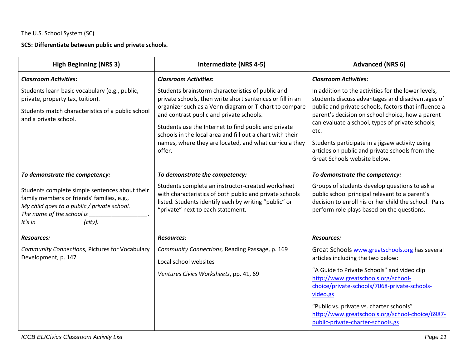**SC5: Differentiate between public and private schools.**

| <b>High Beginning (NRS 3)</b>                                                                                                                                                                                  | <b>Intermediate (NRS 4-5)</b>                                                                                                                                                                                                                                                                                                                                                                                 | <b>Advanced (NRS 6)</b>                                                                                                                                                                                                                                                                                                                                                                                               |
|----------------------------------------------------------------------------------------------------------------------------------------------------------------------------------------------------------------|---------------------------------------------------------------------------------------------------------------------------------------------------------------------------------------------------------------------------------------------------------------------------------------------------------------------------------------------------------------------------------------------------------------|-----------------------------------------------------------------------------------------------------------------------------------------------------------------------------------------------------------------------------------------------------------------------------------------------------------------------------------------------------------------------------------------------------------------------|
| <b>Classroom Activities:</b>                                                                                                                                                                                   | <b>Classroom Activities:</b>                                                                                                                                                                                                                                                                                                                                                                                  | <b>Classroom Activities:</b>                                                                                                                                                                                                                                                                                                                                                                                          |
| Students learn basic vocabulary (e.g., public,<br>private, property tax, tuition).<br>Students match characteristics of a public school<br>and a private school.                                               | Students brainstorm characteristics of public and<br>private schools, then write short sentences or fill in an<br>organizer such as a Venn diagram or T-chart to compare<br>and contrast public and private schools.<br>Students use the Internet to find public and private<br>schools in the local area and fill out a chart with their<br>names, where they are located, and what curricula they<br>offer. | In addition to the activities for the lower levels,<br>students discuss advantages and disadvantages of<br>public and private schools, factors that influence a<br>parent's decision on school choice, how a parent<br>can evaluate a school, types of private schools,<br>etc.<br>Students participate in a jigsaw activity using<br>articles on public and private schools from the<br>Great Schools website below. |
| To demonstrate the competency:                                                                                                                                                                                 | To demonstrate the competency:                                                                                                                                                                                                                                                                                                                                                                                | To demonstrate the competency:                                                                                                                                                                                                                                                                                                                                                                                        |
| Students complete simple sentences about their<br>family members or friends' families, e.g.,<br>My child goes to a public / private school.<br>The name of the school is<br>It's in __________________ (city). | Students complete an instructor-created worksheet<br>with characteristics of both public and private schools<br>listed. Students identify each by writing "public" or<br>"private" next to each statement.                                                                                                                                                                                                    | Groups of students develop questions to ask a<br>public school principal relevant to a parent's<br>decision to enroll his or her child the school. Pairs<br>perform role plays based on the questions.                                                                                                                                                                                                                |
| <b>Resources:</b>                                                                                                                                                                                              | <b>Resources:</b>                                                                                                                                                                                                                                                                                                                                                                                             | <b>Resources:</b>                                                                                                                                                                                                                                                                                                                                                                                                     |
| Community Connections, Pictures for Vocabulary<br>Development, p. 147                                                                                                                                          | Community Connections, Reading Passage, p. 169<br>Local school websites<br>Ventures Civics Worksheets, pp. 41, 69                                                                                                                                                                                                                                                                                             | Great Schools www.greatschools.org has several<br>articles including the two below:<br>"A Guide to Private Schools" and video clip<br>http://www.greatschools.org/school-<br>choice/private-schools/7068-private-schools-<br>video.gs<br>"Public vs. private vs. charter schools"<br>http://www.greatschools.org/school-choice/6987-<br>public-private-charter-schools.gs                                             |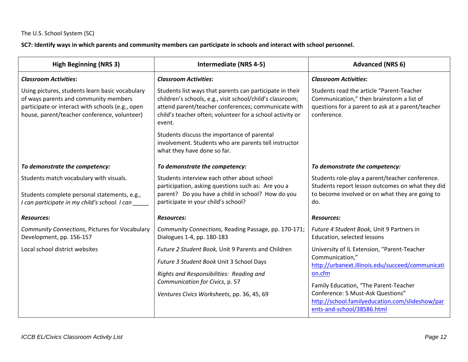**SC7: Identify ways in which parents and community members can participate in schools and interact with school personnel.**

| <b>High Beginning (NRS 3)</b>                                                                                                                                                                | <b>Intermediate (NRS 4-5)</b>                                                                                                                                                                                                                                                                                                                                                              | <b>Advanced (NRS 6)</b>                                                                                                                                       |
|----------------------------------------------------------------------------------------------------------------------------------------------------------------------------------------------|--------------------------------------------------------------------------------------------------------------------------------------------------------------------------------------------------------------------------------------------------------------------------------------------------------------------------------------------------------------------------------------------|---------------------------------------------------------------------------------------------------------------------------------------------------------------|
| <b>Classroom Activities:</b>                                                                                                                                                                 | <b>Classroom Activities:</b>                                                                                                                                                                                                                                                                                                                                                               | <b>Classroom Activities:</b>                                                                                                                                  |
| Using pictures, students learn basic vocabulary<br>of ways parents and community members<br>participate or interact with schools (e.g., open<br>house, parent/teacher conference, volunteer) | Students list ways that parents can participate in their<br>children's schools, e.g., visit school/child's classroom;<br>attend parent/teacher conferences; communicate with<br>child's teacher often; volunteer for a school activity or<br>event.<br>Students discuss the importance of parental<br>involvement. Students who are parents tell instructor<br>what they have done so far. | Students read the article "Parent-Teacher<br>Communication," then brainstorm a list of<br>questions for a parent to ask at a parent/teacher<br>conference.    |
| To demonstrate the competency:                                                                                                                                                               | To demonstrate the competency:                                                                                                                                                                                                                                                                                                                                                             | To demonstrate the competency:                                                                                                                                |
| Students match vocabulary with visuals.<br>Students complete personal statements, e.g.,<br>I can participate in my child's school. I can                                                     | Students interview each other about school<br>participation, asking questions such as: Are you a<br>parent? Do you have a child in school? How do you<br>participate in your child's school?                                                                                                                                                                                               | Students role-play a parent/teacher conference.<br>Students report lesson outcomes on what they did<br>to become involved or on what they are going to<br>do. |
| <b>Resources:</b>                                                                                                                                                                            | <b>Resources:</b>                                                                                                                                                                                                                                                                                                                                                                          | <b>Resources:</b>                                                                                                                                             |
| Community Connections, Pictures for Vocabulary<br>Development, pp. 156-157                                                                                                                   | Community Connections, Reading Passage, pp. 170-171;<br>Dialogues 1-4, pp. 180-183                                                                                                                                                                                                                                                                                                         | Future 4 Student Book, Unit 9 Partners in<br>Education, selected lessons                                                                                      |
| Local school district websites                                                                                                                                                               | Future 2 Student Book, Unit 9 Parents and Children                                                                                                                                                                                                                                                                                                                                         | University of IL Extension, "Parent-Teacher                                                                                                                   |
|                                                                                                                                                                                              | Future 3 Student Book Unit 3 School Days                                                                                                                                                                                                                                                                                                                                                   | Communication,"<br>http://urbanext.illinois.edu/succeed/communicati                                                                                           |
|                                                                                                                                                                                              | Rights and Responsibilities: Reading and                                                                                                                                                                                                                                                                                                                                                   | on.cfm                                                                                                                                                        |
|                                                                                                                                                                                              | Communication for Civics, p. 57                                                                                                                                                                                                                                                                                                                                                            | Family Education, "The Parent-Teacher<br>Conference: 5 Must-Ask Questions"                                                                                    |
|                                                                                                                                                                                              | Ventures Civics Worksheets, pp. 36, 45, 69                                                                                                                                                                                                                                                                                                                                                 | http://school.familyeducation.com/slideshow/par<br>ents-and-school/38586.html                                                                                 |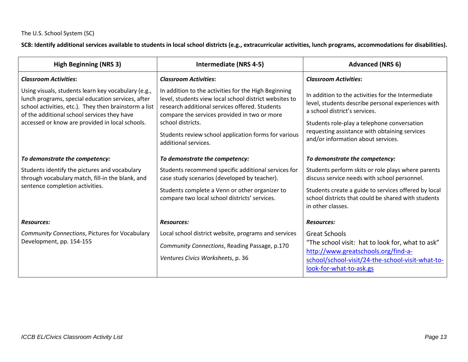**SC8: Identify additional services available to students in local school districts (e.g., extracurricular activities, lunch programs, accommodations for disabilities).** 

| <b>High Beginning (NRS 3)</b>                                                                                                                                                                                                                                       | <b>Intermediate (NRS 4-5)</b>                                                                                                                                                                                                                                                                                         | <b>Advanced (NRS 6)</b>                                                                                                                                                                                                                                                         |
|---------------------------------------------------------------------------------------------------------------------------------------------------------------------------------------------------------------------------------------------------------------------|-----------------------------------------------------------------------------------------------------------------------------------------------------------------------------------------------------------------------------------------------------------------------------------------------------------------------|---------------------------------------------------------------------------------------------------------------------------------------------------------------------------------------------------------------------------------------------------------------------------------|
| <b>Classroom Activities:</b>                                                                                                                                                                                                                                        | <b>Classroom Activities:</b>                                                                                                                                                                                                                                                                                          | <b>Classroom Activities:</b>                                                                                                                                                                                                                                                    |
| Using visuals, students learn key vocabulary (e.g.,<br>lunch programs, special education services, after<br>school activities, etc.). They then brainstorm a list<br>of the additional school services they have<br>accessed or know are provided in local schools. | In addition to the activities for the High Beginning<br>level, students view local school district websites to<br>research additional services offered. Students<br>compare the services provided in two or more<br>school districts.<br>Students review school application forms for various<br>additional services. | In addition to the activities for the Intermediate<br>level, students describe personal experiences with<br>a school district's services.<br>Students role-play a telephone conversation<br>requesting assistance with obtaining services<br>and/or information about services. |
| To demonstrate the competency:                                                                                                                                                                                                                                      | To demonstrate the competency:                                                                                                                                                                                                                                                                                        | To demonstrate the competency:                                                                                                                                                                                                                                                  |
| Students identify the pictures and vocabulary<br>through vocabulary match, fill-in the blank, and                                                                                                                                                                   | Students recommend specific additional services for<br>case study scenarios (developed by teacher).                                                                                                                                                                                                                   | Students perform skits or role plays where parents<br>discuss service needs with school personnel.                                                                                                                                                                              |
| sentence completion activities.                                                                                                                                                                                                                                     | Students complete a Venn or other organizer to<br>compare two local school districts' services.                                                                                                                                                                                                                       | Students create a guide to services offered by local<br>school districts that could be shared with students<br>in other classes.                                                                                                                                                |
| <b>Resources:</b>                                                                                                                                                                                                                                                   | <b>Resources:</b>                                                                                                                                                                                                                                                                                                     | <b>Resources:</b>                                                                                                                                                                                                                                                               |
| Community Connections, Pictures for Vocabulary                                                                                                                                                                                                                      | Local school district website, programs and services                                                                                                                                                                                                                                                                  | <b>Great Schools</b>                                                                                                                                                                                                                                                            |
| Development, pp. 154-155                                                                                                                                                                                                                                            | Community Connections, Reading Passage, p.170                                                                                                                                                                                                                                                                         | "The school visit: hat to look for, what to ask"<br>http://www.greatschools.org/find-a-                                                                                                                                                                                         |
|                                                                                                                                                                                                                                                                     | Ventures Civics Worksheets, p. 36                                                                                                                                                                                                                                                                                     | school/school-visit/24-the-school-visit-what-to-<br>look-for-what-to-ask.gs                                                                                                                                                                                                     |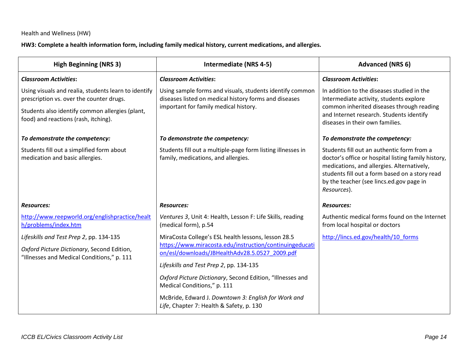#### **HW3: Complete a health information form, including family medical history, current medications, and allergies.**

| <b>High Beginning (NRS 3)</b>                                                                    | Intermediate (NRS 4-5)                                                                                            | <b>Advanced (NRS 6)</b>                                                                                                                                                                                                                                      |
|--------------------------------------------------------------------------------------------------|-------------------------------------------------------------------------------------------------------------------|--------------------------------------------------------------------------------------------------------------------------------------------------------------------------------------------------------------------------------------------------------------|
| <b>Classroom Activities:</b>                                                                     | <b>Classroom Activities:</b>                                                                                      | <b>Classroom Activities:</b>                                                                                                                                                                                                                                 |
| Using visuals and realia, students learn to identify<br>prescription vs. over the counter drugs. | Using sample forms and visuals, students identify common<br>diseases listed on medical history forms and diseases | In addition to the diseases studied in the<br>Intermediate activity, students explore                                                                                                                                                                        |
| Students also identify common allergies (plant,<br>food) and reactions (rash, itching).          | important for family medical history.                                                                             | common inherited diseases through reading<br>and Internet research. Students identify<br>diseases in their own families.                                                                                                                                     |
| To demonstrate the competency:                                                                   | To demonstrate the competency:                                                                                    | To demonstrate the competency:                                                                                                                                                                                                                               |
| Students fill out a simplified form about<br>medication and basic allergies.                     | Students fill out a multiple-page form listing illnesses in<br>family, medications, and allergies.                | Students fill out an authentic form from a<br>doctor's office or hospital listing family history,<br>medications, and allergies. Alternatively,<br>students fill out a form based on a story read<br>by the teacher (see lincs.ed.gov page in<br>Resources). |
| <b>Resources:</b>                                                                                | <b>Resources:</b>                                                                                                 | <b>Resources:</b>                                                                                                                                                                                                                                            |
| http://www.reepworld.org/englishpractice/healt<br>h/problems/index.htm                           | Ventures 3, Unit 4: Health, Lesson F: Life Skills, reading<br>(medical form), p.54                                | Authentic medical forms found on the Internet<br>from local hospital or doctors                                                                                                                                                                              |
| Lifeskills and Test Prep 2, pp. 134-135                                                          | MiraCosta College's ESL health lessons, lesson 28.5                                                               | http://lincs.ed.gov/health/10 forms                                                                                                                                                                                                                          |
| Oxford Picture Dictionary, Second Edition,<br>"Illnesses and Medical Conditions," p. 111         | https://www.miracosta.edu/instruction/continuingeducati<br>on/esl/downloads/JBHealthAdv28.5.0527 2009.pdf         |                                                                                                                                                                                                                                                              |
|                                                                                                  | Lifeskills and Test Prep 2, pp. 134-135                                                                           |                                                                                                                                                                                                                                                              |
|                                                                                                  | Oxford Picture Dictionary, Second Edition, "Illnesses and<br>Medical Conditions," p. 111                          |                                                                                                                                                                                                                                                              |
|                                                                                                  | McBride, Edward J. Downtown 3: English for Work and<br>Life, Chapter 7: Health & Safety, p. 130                   |                                                                                                                                                                                                                                                              |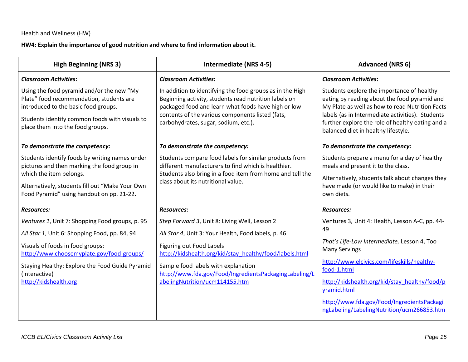**HW4: Explain the importance of good nutrition and where to find information about it.**

| <b>High Beginning (NRS 3)</b>                                                                                                                                                                                       | <b>Intermediate (NRS 4-5)</b>                                                                                                                                                                                                                                         | <b>Advanced (NRS 6)</b>                                                                                                                                                                                                                                                                      |
|---------------------------------------------------------------------------------------------------------------------------------------------------------------------------------------------------------------------|-----------------------------------------------------------------------------------------------------------------------------------------------------------------------------------------------------------------------------------------------------------------------|----------------------------------------------------------------------------------------------------------------------------------------------------------------------------------------------------------------------------------------------------------------------------------------------|
| <b>Classroom Activities:</b>                                                                                                                                                                                        | <b>Classroom Activities:</b>                                                                                                                                                                                                                                          | <b>Classroom Activities:</b>                                                                                                                                                                                                                                                                 |
| Using the food pyramid and/or the new "My<br>Plate" food recommendation, students are<br>introduced to the basic food groups.<br>Students identify common foods with visuals to<br>place them into the food groups. | In addition to identifying the food groups as in the High<br>Beginning activity, students read nutrition labels on<br>packaged food and learn what foods have high or low<br>contents of the various components listed (fats,<br>carbohydrates, sugar, sodium, etc.). | Students explore the importance of healthy<br>eating by reading about the food pyramid and<br>My Plate as well as how to read Nutrition Facts<br>labels (as in Intermediate activities). Students<br>further explore the role of healthy eating and a<br>balanced diet in healthy lifestyle. |
| To demonstrate the competency:                                                                                                                                                                                      | To demonstrate the competency:                                                                                                                                                                                                                                        | To demonstrate the competency:                                                                                                                                                                                                                                                               |
| Students identify foods by writing names under<br>pictures and then marking the food group in                                                                                                                       | Students compare food labels for similar products from<br>different manufacturers to find which is healthier.                                                                                                                                                         | Students prepare a menu for a day of healthy<br>meals and present it to the class.                                                                                                                                                                                                           |
| which the item belongs.<br>Alternatively, students fill out "Make Your Own<br>Food Pyramid" using handout on pp. 21-22.                                                                                             | Students also bring in a food item from home and tell the<br>class about its nutritional value.                                                                                                                                                                       | Alternatively, students talk about changes they<br>have made (or would like to make) in their<br>own diets.                                                                                                                                                                                  |
| <b>Resources:</b>                                                                                                                                                                                                   | <b>Resources:</b>                                                                                                                                                                                                                                                     | <b>Resources:</b>                                                                                                                                                                                                                                                                            |
| Ventures 1, Unit 7: Shopping Food groups, p. 95<br>All Star 1, Unit 6: Shopping Food, pp. 84, 94                                                                                                                    | Step Forward 3, Unit 8: Living Well, Lesson 2<br>All Star 4, Unit 3: Your Health, Food labels, p. 46                                                                                                                                                                  | Ventures 3, Unit 4: Health, Lesson A-C, pp. 44-<br>49                                                                                                                                                                                                                                        |
| Visuals of foods in food groups:<br>http://www.choosemyplate.gov/food-groups/                                                                                                                                       | Figuring out Food Labels<br>http://kidshealth.org/kid/stay_healthy/food/labels.html                                                                                                                                                                                   | That's Life-Low Intermediate, Lesson 4, Too<br><b>Many Servings</b>                                                                                                                                                                                                                          |
| Staying Healthy: Explore the Food Guide Pyramid<br>(interactive)                                                                                                                                                    | Sample food labels with explanation<br>http://www.fda.gov/Food/IngredientsPackagingLabeling/L                                                                                                                                                                         | http://www.elcivics.com/lifeskills/healthy-<br>food-1.html                                                                                                                                                                                                                                   |
| http://kidshealth.org                                                                                                                                                                                               | abelingNutrition/ucm114155.htm                                                                                                                                                                                                                                        | http://kidshealth.org/kid/stay healthy/food/p<br>yramid.html                                                                                                                                                                                                                                 |
|                                                                                                                                                                                                                     |                                                                                                                                                                                                                                                                       | http://www.fda.gov/Food/IngredientsPackagi<br>ngLabeling/LabelingNutrition/ucm266853.htm                                                                                                                                                                                                     |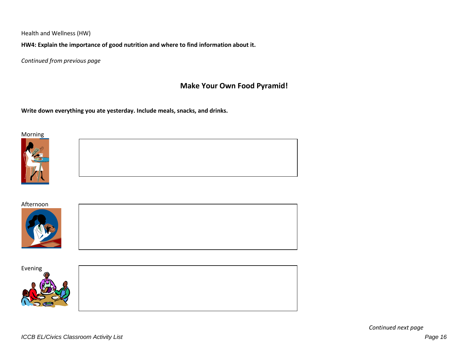**HW4: Explain the importance of good nutrition and where to find information about it.**

*Continued from previous page*

# **Make Your Own Food Pyramid!**

**Write down everything you ate yesterday. Include meals, snacks, and drinks.**















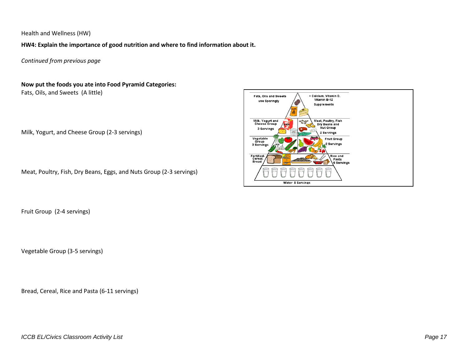**HW4: Explain the importance of good nutrition and where to find information about it.**

*Continued from previous page*

**Now put the foods you ate into Food Pyramid Categories:** Fats, Oils, and Sweets (A little)

Milk, Yogurt, and Cheese Group (2-3 servings)

Meat, Poultry, Fish, Dry Beans, Eggs, and Nuts Group (2-3 servings)

Fruit Group (2-4 servings)

Vegetable Group (3-5 servings)

Bread, Cereal, Rice and Pasta (6-11 servings)

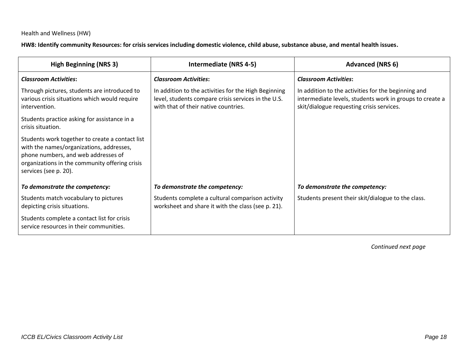**HW8: Identify community Resources: for crisis services including domestic violence, child abuse, substance abuse, and mental health issues.**

| <b>High Beginning (NRS 3)</b>                                                                                                                                                                                 | Intermediate (NRS 4-5)                                                                                                                              | <b>Advanced (NRS 6)</b>                                                                                                                                      |
|---------------------------------------------------------------------------------------------------------------------------------------------------------------------------------------------------------------|-----------------------------------------------------------------------------------------------------------------------------------------------------|--------------------------------------------------------------------------------------------------------------------------------------------------------------|
| <b>Classroom Activities:</b>                                                                                                                                                                                  | <b>Classroom Activities:</b>                                                                                                                        | <b>Classroom Activities:</b>                                                                                                                                 |
| Through pictures, students are introduced to<br>various crisis situations which would require<br>intervention.                                                                                                | In addition to the activities for the High Beginning<br>level, students compare crisis services in the U.S.<br>with that of their native countries. | In addition to the activities for the beginning and<br>intermediate levels, students work in groups to create a<br>skit/dialogue requesting crisis services. |
| Students practice asking for assistance in a<br>crisis situation.                                                                                                                                             |                                                                                                                                                     |                                                                                                                                                              |
| Students work together to create a contact list<br>with the names/organizations, addresses,<br>phone numbers, and web addresses of<br>organizations in the community offering crisis<br>services (see p. 20). |                                                                                                                                                     |                                                                                                                                                              |
| To demonstrate the competency:                                                                                                                                                                                | To demonstrate the competency:                                                                                                                      | To demonstrate the competency:                                                                                                                               |
| Students match vocabulary to pictures<br>depicting crisis situations.                                                                                                                                         | Students complete a cultural comparison activity<br>worksheet and share it with the class (see p. 21).                                              | Students present their skit/dialogue to the class.                                                                                                           |
| Students complete a contact list for crisis<br>service resources in their communities.                                                                                                                        |                                                                                                                                                     |                                                                                                                                                              |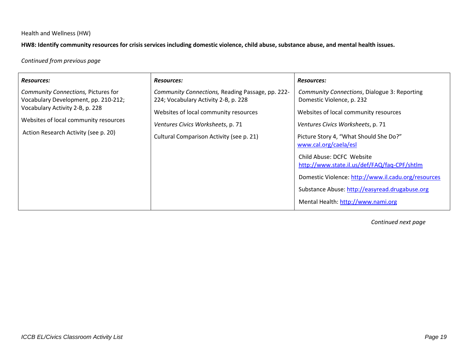**HW8: Identify community resources for crisis services including domestic violence, child abuse, substance abuse, and mental health issues.**

#### *Continued from previous page*

| <b>Resources:</b>                                                                                                                                                                               | <b>Resources:</b>                                                                                                                                                                                                  | <b>Resources:</b>                                                                                                                                                                                                                                                                                                                                              |
|-------------------------------------------------------------------------------------------------------------------------------------------------------------------------------------------------|--------------------------------------------------------------------------------------------------------------------------------------------------------------------------------------------------------------------|----------------------------------------------------------------------------------------------------------------------------------------------------------------------------------------------------------------------------------------------------------------------------------------------------------------------------------------------------------------|
| Community Connections, Pictures for<br>Vocabulary Development, pp. 210-212;<br>Vocabulary Activity 2-B, p. 228<br>Websites of local community resources<br>Action Research Activity (see p. 20) | Community Connections, Reading Passage, pp. 222-<br>224; Vocabulary Activity 2-B, p. 228<br>Websites of local community resources<br>Ventures Civics Worksheets, p. 71<br>Cultural Comparison Activity (see p. 21) | Community Connections, Dialogue 3: Reporting<br>Domestic Violence, p. 232<br>Websites of local community resources<br>Ventures Civics Worksheets, p. 71<br>Picture Story 4, "What Should She Do?"<br>www.cal.org/caela/esl<br>Child Abuse: DCFC Website<br>http://www.state.il.us/def/FAQ/faq-CPF/shtlm<br>Domestic Violence: http://www.il.cadu.org/resources |
|                                                                                                                                                                                                 |                                                                                                                                                                                                                    | Substance Abuse: http://easyread.drugabuse.org<br>Mental Health: http://www.nami.org                                                                                                                                                                                                                                                                           |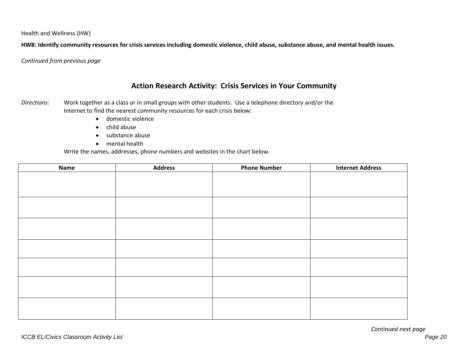**HW8: Identify community resources for crisis services including domestic violence, child abuse, substance abuse, and mental health issues.**

*Continued from previous page*

## **Action Research Activity: Crisis Services in Your Community**

- *Directions:* Work together as a class or in small groups with other students. Use a telephone directory and/or the Internet to find the nearest community resources for each crisis below:
	- domestic violence
	- child abuse
	- substance abuse
	- mental health

Write the names, addresses, phone numbers and websites in the chart below.

| Name | <b>Address</b> | <b>Phone Number</b> | <b>Internet Address</b> |
|------|----------------|---------------------|-------------------------|
|      |                |                     |                         |
|      |                |                     |                         |
|      |                |                     |                         |
|      |                |                     |                         |
|      |                |                     |                         |
|      |                |                     |                         |
|      |                |                     |                         |
|      |                |                     |                         |
|      |                |                     |                         |
|      |                |                     |                         |
|      |                |                     |                         |
|      |                |                     |                         |
|      |                |                     |                         |
|      |                |                     |                         |
|      |                |                     |                         |
|      |                |                     |                         |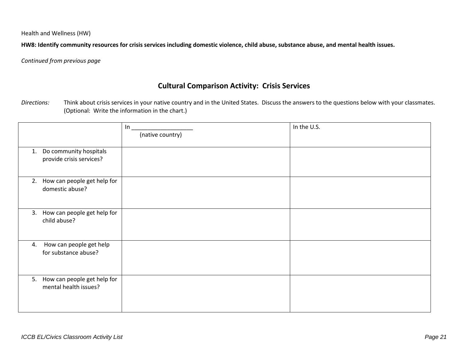**HW8: Identify community resources for crisis services including domestic violence, child abuse, substance abuse, and mental health issues.**

*Continued from previous page*

# **Cultural Comparison Activity: Crisis Services**

*Directions:* Think about crisis services in your native country and in the United States. Discuss the answers to the questions below with your classmates. (Optional: Write the information in the chart.)

|                                                          | In<br>(native country) | In the U.S. |
|----------------------------------------------------------|------------------------|-------------|
| Do community hospitals<br>1.<br>provide crisis services? |                        |             |
| 2. How can people get help for<br>domestic abuse?        |                        |             |
| How can people get help for<br>3.<br>child abuse?        |                        |             |
| How can people get help<br>4.<br>for substance abuse?    |                        |             |
| 5. How can people get help for<br>mental health issues?  |                        |             |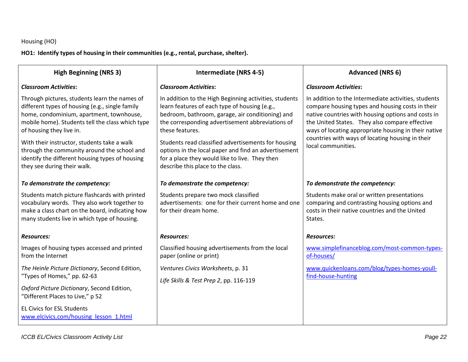**HO1: Identify types of housing in their communities (e.g., rental, purchase, shelter).**

| <b>High Beginning (NRS 3)</b>                                                                                                                                                                                                                                               | <b>Intermediate (NRS 4-5)</b>                                                                                                                                                                                                                                                             | <b>Advanced (NRS 6)</b>                                                                                                                                                                                                                                                                                                      |
|-----------------------------------------------------------------------------------------------------------------------------------------------------------------------------------------------------------------------------------------------------------------------------|-------------------------------------------------------------------------------------------------------------------------------------------------------------------------------------------------------------------------------------------------------------------------------------------|------------------------------------------------------------------------------------------------------------------------------------------------------------------------------------------------------------------------------------------------------------------------------------------------------------------------------|
| <b>Classroom Activities:</b>                                                                                                                                                                                                                                                | <b>Classroom Activities:</b>                                                                                                                                                                                                                                                              | <b>Classroom Activities:</b>                                                                                                                                                                                                                                                                                                 |
| Through pictures, students learn the names of<br>different types of housing (e.g., single family<br>home, condominium, apartment, townhouse,<br>mobile home). Students tell the class which type<br>of housing they live in.<br>With their instructor, students take a walk | In addition to the High Beginning activities, students<br>learn features of each type of housing (e.g.,<br>bedroom, bathroom, garage, air conditioning) and<br>the corresponding advertisement abbreviations of<br>these features.<br>Students read classified advertisements for housing | In addition to the Intermediate activities, students<br>compare housing types and housing costs in their<br>native countries with housing options and costs in<br>the United States. They also compare effective<br>ways of locating appropriate housing in their native<br>countries with ways of locating housing in their |
| through the community around the school and<br>identify the different housing types of housing<br>they see during their walk.                                                                                                                                               | options in the local paper and find an advertisement<br>for a place they would like to live. They then<br>describe this place to the class.                                                                                                                                               | local communities.                                                                                                                                                                                                                                                                                                           |
| To demonstrate the competency:                                                                                                                                                                                                                                              | To demonstrate the competency:                                                                                                                                                                                                                                                            | To demonstrate the competency:                                                                                                                                                                                                                                                                                               |
| Students match picture flashcards with printed<br>vocabulary words. They also work together to<br>make a class chart on the board, indicating how<br>many students live in which type of housing.                                                                           | Students prepare two mock classified<br>advertisements: one for their current home and one<br>for their dream home.                                                                                                                                                                       | Students make oral or written presentations<br>comparing and contrasting housing options and<br>costs in their native countries and the United<br>States.                                                                                                                                                                    |
| <b>Resources:</b>                                                                                                                                                                                                                                                           | <b>Resources:</b>                                                                                                                                                                                                                                                                         | <b>Resources:</b>                                                                                                                                                                                                                                                                                                            |
| Images of housing types accessed and printed<br>from the Internet                                                                                                                                                                                                           | Classified housing advertisements from the local<br>paper (online or print)                                                                                                                                                                                                               | www.simplefinanceblog.com/most-common-types-<br>of-houses/                                                                                                                                                                                                                                                                   |
| The Heinle Picture Dictionary, Second Edition,                                                                                                                                                                                                                              | Ventures Civics Worksheets, p. 31                                                                                                                                                                                                                                                         | www.quickenloans.com/blog/types-homes-youll-                                                                                                                                                                                                                                                                                 |
| "Types of Homes," pp. 62-63                                                                                                                                                                                                                                                 | Life Skills & Test Prep 2, pp. 116-119                                                                                                                                                                                                                                                    | find-house-hunting                                                                                                                                                                                                                                                                                                           |
| Oxford Picture Dictionary, Second Edition,<br>"Different Places to Live," p 52                                                                                                                                                                                              |                                                                                                                                                                                                                                                                                           |                                                                                                                                                                                                                                                                                                                              |
| <b>EL Civics for ESL Students</b><br>www.elcivics.com/housing lesson 1.html                                                                                                                                                                                                 |                                                                                                                                                                                                                                                                                           |                                                                                                                                                                                                                                                                                                                              |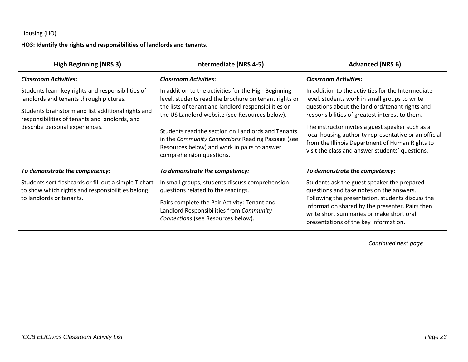**HO3: Identify the rights and responsibilities of landlords and tenants.**

| <b>High Beginning (NRS 3)</b>                                                                                                                                                                                                          | Intermediate (NRS 4-5)                                                                                                                                                                                                                                                                                                                                                                                         | <b>Advanced (NRS 6)</b>                                                                                                                                                                                                                                                                                                                                                                                                    |
|----------------------------------------------------------------------------------------------------------------------------------------------------------------------------------------------------------------------------------------|----------------------------------------------------------------------------------------------------------------------------------------------------------------------------------------------------------------------------------------------------------------------------------------------------------------------------------------------------------------------------------------------------------------|----------------------------------------------------------------------------------------------------------------------------------------------------------------------------------------------------------------------------------------------------------------------------------------------------------------------------------------------------------------------------------------------------------------------------|
| <b>Classroom Activities:</b>                                                                                                                                                                                                           | <b>Classroom Activities:</b>                                                                                                                                                                                                                                                                                                                                                                                   | <b>Classroom Activities:</b>                                                                                                                                                                                                                                                                                                                                                                                               |
| Students learn key rights and responsibilities of<br>landlords and tenants through pictures.<br>Students brainstorm and list additional rights and<br>responsibilities of tenants and landlords, and<br>describe personal experiences. | In addition to the activities for the High Beginning<br>level, students read the brochure on tenant rights or<br>the lists of tenant and landlord responsibilities on<br>the US Landlord website (see Resources below).<br>Students read the section on Landlords and Tenants<br>in the Community Connections Reading Passage (see<br>Resources below) and work in pairs to answer<br>comprehension questions. | In addition to the activities for the Intermediate<br>level, students work in small groups to write<br>questions about the landlord/tenant rights and<br>responsibilities of greatest interest to them.<br>The instructor invites a guest speaker such as a<br>local housing authority representative or an official<br>from the Illinois Department of Human Rights to<br>visit the class and answer students' questions. |
| To demonstrate the competency:                                                                                                                                                                                                         | To demonstrate the competency:                                                                                                                                                                                                                                                                                                                                                                                 | To demonstrate the competency:                                                                                                                                                                                                                                                                                                                                                                                             |
| Students sort flashcards or fill out a simple T chart<br>to show which rights and responsibilities belong<br>to landlords or tenants.                                                                                                  | In small groups, students discuss comprehension<br>questions related to the readings.<br>Pairs complete the Pair Activity: Tenant and<br>Landlord Responsibilities from Community<br>Connections (see Resources below).                                                                                                                                                                                        | Students ask the guest speaker the prepared<br>questions and take notes on the answers.<br>Following the presentation, students discuss the<br>information shared by the presenter. Pairs then<br>write short summaries or make short oral<br>presentations of the key information.                                                                                                                                        |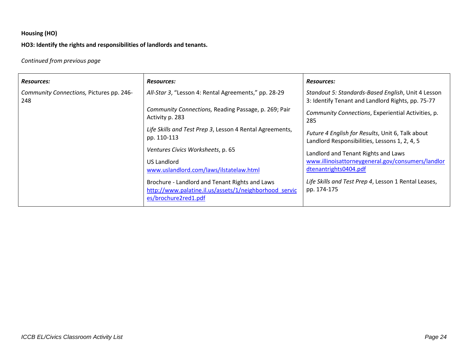**HO3: Identify the rights and responsibilities of landlords and tenants.**

*Continued from previous page*

| <b>Resources:</b>                               | <b>Resources:</b>                                                                                                                | <b>Resources:</b>                                                                                       |
|-------------------------------------------------|----------------------------------------------------------------------------------------------------------------------------------|---------------------------------------------------------------------------------------------------------|
| Community Connections, Pictures pp. 246-<br>248 | All-Star 3, "Lesson 4: Rental Agreements," pp. 28-29                                                                             | Standout 5: Standards-Based English, Unit 4 Lesson<br>3: Identify Tenant and Landlord Rights, pp. 75-77 |
|                                                 | Community Connections, Reading Passage, p. 269; Pair<br>Activity p. 283                                                          | Community Connections, Experiential Activities, p.<br>285                                               |
|                                                 | Life Skills and Test Prep 3, Lesson 4 Rental Agreements,<br>pp. 110-113                                                          | Future 4 English for Results, Unit 6, Talk about<br>Landlord Responsibilities, Lessons 1, 2, 4, 5       |
|                                                 | Ventures Civics Worksheets, p. 65                                                                                                | Landlord and Tenant Rights and Laws                                                                     |
|                                                 | <b>US Landlord</b>                                                                                                               | www.illinoisattorneygeneral.gov/consumers/landlor                                                       |
|                                                 | www.uslandlord.com/laws/ilstatelaw.html                                                                                          | dtenantrights0404.pdf                                                                                   |
|                                                 | Brochure - Landlord and Tenant Rights and Laws<br>http://www.palatine.il.us/assets/1/neighborhood servic<br>es/brochure2red1.pdf | Life Skills and Test Prep 4, Lesson 1 Rental Leases,<br>pp. 174-175                                     |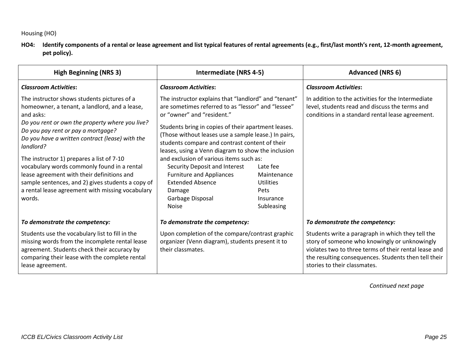**HO4: Identify components of a rental or lease agreement and list typical features of rental agreements (e.g., first/last month's rent, 12-month agreement, pet policy).**

| <b>High Beginning (NRS 3)</b>                                                                                                                                                                                                                                                                                                                                                                                                                                                                                                   | Intermediate (NRS 4-5)                                                                                                                                                                                                                                                                                                                                                                                                                                                                                                                                  |                                                                         | <b>Advanced (NRS 6)</b>                                                                                                                                                                                                                             |
|---------------------------------------------------------------------------------------------------------------------------------------------------------------------------------------------------------------------------------------------------------------------------------------------------------------------------------------------------------------------------------------------------------------------------------------------------------------------------------------------------------------------------------|---------------------------------------------------------------------------------------------------------------------------------------------------------------------------------------------------------------------------------------------------------------------------------------------------------------------------------------------------------------------------------------------------------------------------------------------------------------------------------------------------------------------------------------------------------|-------------------------------------------------------------------------|-----------------------------------------------------------------------------------------------------------------------------------------------------------------------------------------------------------------------------------------------------|
| <b>Classroom Activities:</b>                                                                                                                                                                                                                                                                                                                                                                                                                                                                                                    | <b>Classroom Activities:</b>                                                                                                                                                                                                                                                                                                                                                                                                                                                                                                                            |                                                                         | <b>Classroom Activities:</b>                                                                                                                                                                                                                        |
| The instructor shows students pictures of a<br>homeowner, a tenant, a landlord, and a lease,<br>and asks:<br>Do you rent or own the property where you live?<br>Do you pay rent or pay a mortgage?<br>Do you have a written contract (lease) with the<br>landlord?<br>The instructor 1) prepares a list of 7-10<br>vocabulary words commonly found in a rental<br>lease agreement with their definitions and<br>sample sentences, and 2) gives students a copy of<br>a rental lease agreement with missing vocabulary<br>words. | The instructor explains that "landlord" and "tenant"<br>are sometimes referred to as "lessor" and "lessee"<br>or "owner" and "resident."<br>Students bring in copies of their apartment leases.<br>(Those without leases use a sample lease.) In pairs,<br>students compare and contrast content of their<br>leases, using a Venn diagram to show the inclusion<br>and exclusion of various items such as:<br>Security Deposit and Interest<br><b>Furniture and Appliances</b><br><b>Extended Absence</b><br>Damage<br>Garbage Disposal<br><b>Noise</b> | Late fee<br>Maintenance<br>Utilities<br>Pets<br>Insurance<br>Subleasing | In addition to the activities for the Intermediate<br>level, students read and discuss the terms and<br>conditions in a standard rental lease agreement.                                                                                            |
| To demonstrate the competency:                                                                                                                                                                                                                                                                                                                                                                                                                                                                                                  | To demonstrate the competency:                                                                                                                                                                                                                                                                                                                                                                                                                                                                                                                          |                                                                         | To demonstrate the competency:                                                                                                                                                                                                                      |
| Students use the vocabulary list to fill in the<br>missing words from the incomplete rental lease<br>agreement. Students check their accuracy by<br>comparing their lease with the complete rental<br>lease agreement.                                                                                                                                                                                                                                                                                                          | Upon completion of the compare/contrast graphic<br>organizer (Venn diagram), students present it to<br>their classmates.                                                                                                                                                                                                                                                                                                                                                                                                                                |                                                                         | Students write a paragraph in which they tell the<br>story of someone who knowingly or unknowingly<br>violates two to three terms of their rental lease and<br>the resulting consequences. Students then tell their<br>stories to their classmates. |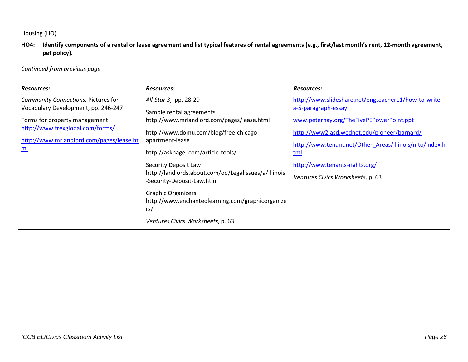**HO4: Identify components of a rental or lease agreement and list typical features of rental agreements (e.g., first/last month's rent, 12-month agreement, pet policy).**

*Continued from previous page*

| <b>Resources:</b>                                                                                                                                                                                             | <b>Resources:</b>                                                                                                                                                                                                          | <b>Resources:</b>                                                                                                                                                                                                                                                                |
|---------------------------------------------------------------------------------------------------------------------------------------------------------------------------------------------------------------|----------------------------------------------------------------------------------------------------------------------------------------------------------------------------------------------------------------------------|----------------------------------------------------------------------------------------------------------------------------------------------------------------------------------------------------------------------------------------------------------------------------------|
| Community Connections, Pictures for<br>Vocabulary Development, pp. 246-247<br>Forms for property management<br>http://www.trexglobal.com/forms/<br>http://www.mrlandlord.com/pages/lease.ht<br>m <sub>l</sub> | All-Star 3, pp. 28-29<br>Sample rental agreements<br>http://www.mrlandlord.com/pages/lease.html<br>http://www.domu.com/blog/free-chicago-<br>apartment-lease<br>http://asknagel.com/article-tools/<br>Security Deposit Law | http://www.slideshare.net/engteacher11/how-to-write-<br>a-5-paragraph-essay<br>www.peterhay.org/TheFivePEPowerPoint.ppt<br>http://www2.asd.wednet.edu/pioneer/barnard/<br>http://www.tenant.net/Other Areas/Illinois/mto/index.h<br><u>tml</u><br>http://www.tenants-rights.org/ |
|                                                                                                                                                                                                               | http://landlords.about.com/od/LegalIssues/a/Illinois<br>-Security-Deposit-Law.htm<br><b>Graphic Organizers</b><br>http://www.enchantedlearning.com/graphicorganize<br>rs/<br>Ventures Civics Worksheets, p. 63             | Ventures Civics Worksheets, p. 63                                                                                                                                                                                                                                                |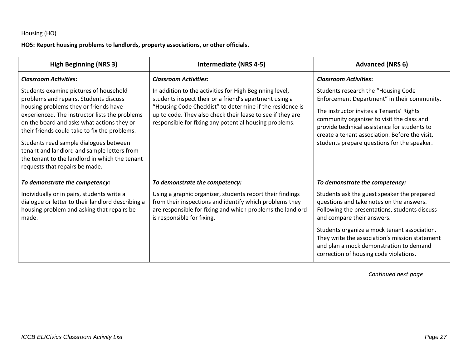**HO5: Report housing problems to landlords, property associations, or other officials.**

| <b>High Beginning (NRS 3)</b>                                                                                                                                                                                                                                                                                                                                                                                                                           | <b>Intermediate (NRS 4-5)</b>                                                                                                                                                                                                                                                                          | <b>Advanced (NRS 6)</b>                                                                                                                                                                                                                                                                                                       |
|---------------------------------------------------------------------------------------------------------------------------------------------------------------------------------------------------------------------------------------------------------------------------------------------------------------------------------------------------------------------------------------------------------------------------------------------------------|--------------------------------------------------------------------------------------------------------------------------------------------------------------------------------------------------------------------------------------------------------------------------------------------------------|-------------------------------------------------------------------------------------------------------------------------------------------------------------------------------------------------------------------------------------------------------------------------------------------------------------------------------|
| <b>Classroom Activities:</b>                                                                                                                                                                                                                                                                                                                                                                                                                            | <b>Classroom Activities:</b>                                                                                                                                                                                                                                                                           | <b>Classroom Activities:</b>                                                                                                                                                                                                                                                                                                  |
| Students examine pictures of household<br>problems and repairs. Students discuss<br>housing problems they or friends have<br>experienced. The instructor lists the problems<br>on the board and asks what actions they or<br>their friends could take to fix the problems.<br>Students read sample dialogues between<br>tenant and landlord and sample letters from<br>the tenant to the landlord in which the tenant<br>requests that repairs be made. | In addition to the activities for High Beginning level,<br>students inspect their or a friend's apartment using a<br>"Housing Code Checklist" to determine if the residence is<br>up to code. They also check their lease to see if they are<br>responsible for fixing any potential housing problems. | Students research the "Housing Code<br>Enforcement Department" in their community.<br>The instructor invites a Tenants' Rights<br>community organizer to visit the class and<br>provide technical assistance for students to<br>create a tenant association. Before the visit,<br>students prepare questions for the speaker. |
| To demonstrate the competency:                                                                                                                                                                                                                                                                                                                                                                                                                          | To demonstrate the competency:                                                                                                                                                                                                                                                                         | To demonstrate the competency:                                                                                                                                                                                                                                                                                                |
| Individually or in pairs, students write a<br>dialogue or letter to their landlord describing a<br>housing problem and asking that repairs be<br>made.                                                                                                                                                                                                                                                                                                  | Using a graphic organizer, students report their findings<br>from their inspections and identify which problems they<br>are responsible for fixing and which problems the landlord<br>is responsible for fixing.                                                                                       | Students ask the guest speaker the prepared<br>questions and take notes on the answers.<br>Following the presentations, students discuss<br>and compare their answers.                                                                                                                                                        |
|                                                                                                                                                                                                                                                                                                                                                                                                                                                         |                                                                                                                                                                                                                                                                                                        | Students organize a mock tenant association.<br>They write the association's mission statement<br>and plan a mock demonstration to demand<br>correction of housing code violations.                                                                                                                                           |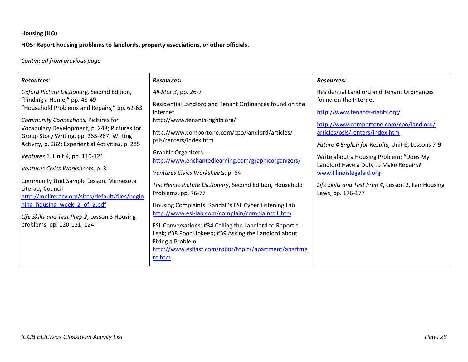**HO5: Report housing problems to landlords, property associations, or other officials.**

*Continued from previous page*

| <b>Resources:</b>                                           | <b>Resources:</b>                                                   | <b>Resources:</b>                                   |
|-------------------------------------------------------------|---------------------------------------------------------------------|-----------------------------------------------------|
| Oxford Picture Dictionary, Second Edition,                  | All-Star 3, pp. 26-7                                                | <b>Residential Landlord and Tenant Ordinances</b>   |
| "Finding a Home," pp. 48-49                                 |                                                                     | found on the Internet                               |
| "Household Problems and Repairs," pp. 62-63                 | Residential Landlord and Tenant Ordinances found on the<br>Internet | http://www.tenants-rights.org/                      |
| Community Connections, Pictures for                         | http://www.tenants-rights.org/                                      |                                                     |
| Vocabulary Development, p. 248; Pictures for                |                                                                     | http://www.comportone.com/cpo/landlord/             |
| Group Story Writing, pp. 265-267; Writing                   | http://www.comportone.com/cpo/landlord/articles/                    | articles/psls/renters/index.htm                     |
| Activity, p. 282; Experiential Activities, p. 285           | psls/renters/index.htm                                              | Future 4 English for Results, Unit 6, Lessons 7-9   |
| Ventures 2, Unit 9, pp. 110-121                             | <b>Graphic Organizers</b>                                           |                                                     |
|                                                             | http://www.enchantedlearning.com/graphicorganizers/                 | Write about a Housing Problem: "Does My             |
| Ventures Civics Worksheets, p. 3                            |                                                                     | Landlord Have a Duty to Make Repairs?               |
|                                                             | Ventures Civics Worksheets, p. 64                                   | www.Illinoislegalaid.org                            |
| Community Unit Sample Lesson, Minnesota<br>Literacy Council | The Heinle Picture Dictionary, Second Edition, Household            | Life Skills and Test Prep 4, Lesson 2, Fair Housing |
|                                                             | Problems, pp. 76-77                                                 | Laws, pp. 176-177                                   |
| http://mnliteracy.org/sites/default/files/begin             |                                                                     |                                                     |
| ning housing week 2 of 2.pdf                                | Housing Complaints, Randall's ESL Cyber Listening Lab               |                                                     |
| Life Skills and Test Prep 2, Lesson 3 Housing               | http://www.esl-lab.com/complain/complainrd1.htm                     |                                                     |
| problems, pp. 120-121, 124                                  | ESL Conversations: #34 Calling the Landlord to Report a             |                                                     |
|                                                             | Leak; #38 Poor Upkeep; #39 Asking the Landlord about                |                                                     |
|                                                             | Fixing a Problem                                                    |                                                     |
|                                                             | http://www.eslfast.com/robot/topics/apartment/apartme               |                                                     |
|                                                             | nt.htm                                                              |                                                     |
|                                                             |                                                                     |                                                     |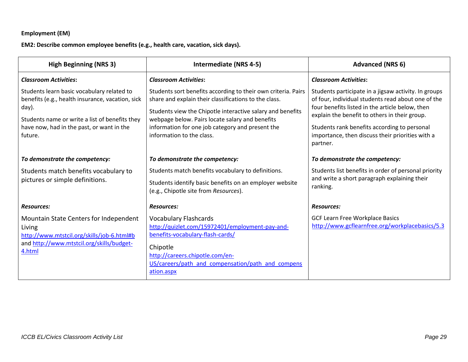**EM2: Describe common employee benefits (e.g., health care, vacation, sick days).**

| <b>High Beginning (NRS 3)</b>                                                                                                                                                                                     | <b>Intermediate (NRS 4-5)</b>                                                                                                                                                                                                                                                                                            | <b>Advanced (NRS 6)</b>                                                                                                                                                                                                                                                                                                        |
|-------------------------------------------------------------------------------------------------------------------------------------------------------------------------------------------------------------------|--------------------------------------------------------------------------------------------------------------------------------------------------------------------------------------------------------------------------------------------------------------------------------------------------------------------------|--------------------------------------------------------------------------------------------------------------------------------------------------------------------------------------------------------------------------------------------------------------------------------------------------------------------------------|
| <b>Classroom Activities:</b>                                                                                                                                                                                      | <b>Classroom Activities:</b>                                                                                                                                                                                                                                                                                             | <b>Classroom Activities:</b>                                                                                                                                                                                                                                                                                                   |
| Students learn basic vocabulary related to<br>benefits (e.g., health insurance, vacation, sick<br>day).<br>Students name or write a list of benefits they<br>have now, had in the past, or want in the<br>future. | Students sort benefits according to their own criteria. Pairs<br>share and explain their classifications to the class.<br>Students view the Chipotle interactive salary and benefits<br>webpage below. Pairs locate salary and benefits<br>information for one job category and present the<br>information to the class. | Students participate in a jigsaw activity. In groups<br>of four, individual students read about one of the<br>four benefits listed in the article below, then<br>explain the benefit to others in their group.<br>Students rank benefits according to personal<br>importance, then discuss their priorities with a<br>partner. |
| To demonstrate the competency:                                                                                                                                                                                    | To demonstrate the competency:                                                                                                                                                                                                                                                                                           | To demonstrate the competency:                                                                                                                                                                                                                                                                                                 |
| Students match benefits vocabulary to<br>pictures or simple definitions.                                                                                                                                          | Students match benefits vocabulary to definitions.<br>Students identify basic benefits on an employer website<br>(e.g., Chipotle site from Resources).                                                                                                                                                                   | Students list benefits in order of personal priority<br>and write a short paragraph explaining their<br>ranking.                                                                                                                                                                                                               |
| <b>Resources:</b>                                                                                                                                                                                                 | <b>Resources:</b>                                                                                                                                                                                                                                                                                                        | <b>Resources:</b>                                                                                                                                                                                                                                                                                                              |
| Mountain State Centers for Independent<br>Living<br>http://www.mtstcil.org/skills/job-6.html#b<br>and http://www.mtstcil.org/skills/budget-<br>4.html                                                             | <b>Vocabulary Flashcards</b><br>http://quizlet.com/15972401/employment-pay-and-<br>benefits-vocabulary-flash-cards/<br>Chipotle<br>http://careers.chipotle.com/en-<br>US/careers/path and compensation/path and compens<br>ation.aspx                                                                                    | <b>GCF Learn Free Workplace Basics</b><br>http://www.gcflearnfree.org/workplacebasics/5.3                                                                                                                                                                                                                                      |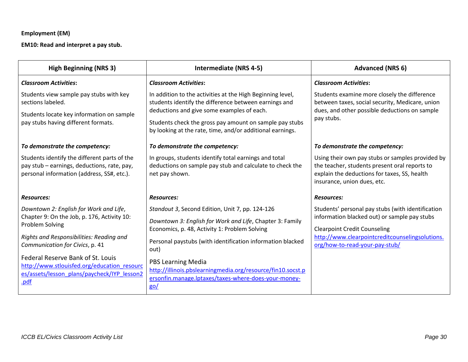**EM10: Read and interpret a pay stub.**

| <b>High Beginning (NRS 3)</b>                                                                                                                                                                                                                                                                                                      | Intermediate (NRS 4-5)                                                                                                                                                                                                                                                                                                                                                                    | <b>Advanced (NRS 6)</b>                                                                                                                                                                                                       |
|------------------------------------------------------------------------------------------------------------------------------------------------------------------------------------------------------------------------------------------------------------------------------------------------------------------------------------|-------------------------------------------------------------------------------------------------------------------------------------------------------------------------------------------------------------------------------------------------------------------------------------------------------------------------------------------------------------------------------------------|-------------------------------------------------------------------------------------------------------------------------------------------------------------------------------------------------------------------------------|
| <b>Classroom Activities:</b>                                                                                                                                                                                                                                                                                                       | <b>Classroom Activities:</b>                                                                                                                                                                                                                                                                                                                                                              | <b>Classroom Activities:</b>                                                                                                                                                                                                  |
| Students view sample pay stubs with key<br>sections labeled.<br>Students locate key information on sample<br>pay stubs having different formats.                                                                                                                                                                                   | In addition to the activities at the High Beginning level,<br>students identify the difference between earnings and<br>deductions and give some examples of each.<br>Students check the gross pay amount on sample pay stubs                                                                                                                                                              | Students examine more closely the difference<br>between taxes, social security, Medicare, union<br>dues, and other possible deductions on sample<br>pay stubs.                                                                |
|                                                                                                                                                                                                                                                                                                                                    | by looking at the rate, time, and/or additional earnings.                                                                                                                                                                                                                                                                                                                                 |                                                                                                                                                                                                                               |
| To demonstrate the competency:                                                                                                                                                                                                                                                                                                     | To demonstrate the competency:                                                                                                                                                                                                                                                                                                                                                            | To demonstrate the competency:                                                                                                                                                                                                |
| Students identify the different parts of the<br>pay stub - earnings, deductions, rate, pay,<br>personal information (address, SS#, etc.).                                                                                                                                                                                          | In groups, students identify total earnings and total<br>deductions on sample pay stub and calculate to check the<br>net pay shown.                                                                                                                                                                                                                                                       | Using their own pay stubs or samples provided by<br>the teacher, students present oral reports to<br>explain the deductions for taxes, SS, health<br>insurance, union dues, etc.                                              |
| <b>Resources:</b>                                                                                                                                                                                                                                                                                                                  | <b>Resources:</b>                                                                                                                                                                                                                                                                                                                                                                         | <b>Resources:</b>                                                                                                                                                                                                             |
| Downtown 2: English for Work and Life,<br>Chapter 9: On the Job, p. 176, Activity 10:<br>Problem Solving<br>Rights and Responsibilities: Reading and<br>Communication for Civics, p. 41<br>Federal Reserve Bank of St. Louis<br>http://www.stlouisfed.org/education resourc<br>es/assets/lesson plans/paycheck/IYP lesson2<br>.pdf | Standout 3, Second Edition, Unit 7, pp. 124-126<br>Downtown 3: English for Work and Life, Chapter 3: Family<br>Economics, p. 48, Activity 1: Problem Solving<br>Personal paystubs (with identification information blacked<br>out)<br>PBS Learning Media<br>http://illinois.pbslearningmedia.org/resource/fin10.socst.p<br>ersonfin.manage.lptaxes/taxes-where-does-your-money-<br>$g$ o/ | Students' personal pay stubs (with identification<br>information blacked out) or sample pay stubs<br><b>Clearpoint Credit Counseling</b><br>http://www.clearpointcreditcounselingsolutions.<br>org/how-to-read-your-pay-stub/ |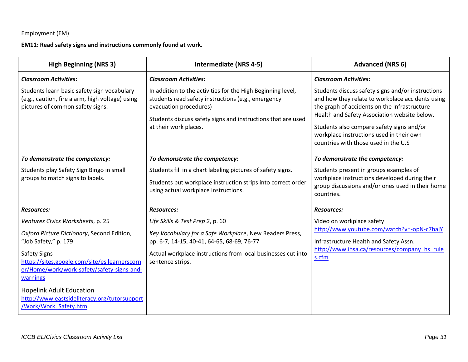# **EM11: Read safety signs and instructions commonly found at work.**

| <b>High Beginning (NRS 3)</b>                                                                                                      | <b>Intermediate (NRS 4-5)</b>                                                                                                                                                                                                        | <b>Advanced (NRS 6)</b>                                                                                                                                                                                                                                                                                                                |
|------------------------------------------------------------------------------------------------------------------------------------|--------------------------------------------------------------------------------------------------------------------------------------------------------------------------------------------------------------------------------------|----------------------------------------------------------------------------------------------------------------------------------------------------------------------------------------------------------------------------------------------------------------------------------------------------------------------------------------|
| <b>Classroom Activities:</b>                                                                                                       | <b>Classroom Activities:</b>                                                                                                                                                                                                         | <b>Classroom Activities:</b>                                                                                                                                                                                                                                                                                                           |
| Students learn basic safety sign vocabulary<br>(e.g., caution, fire alarm, high voltage) using<br>pictures of common safety signs. | In addition to the activities for the High Beginning level,<br>students read safety instructions (e.g., emergency<br>evacuation procedures)<br>Students discuss safety signs and instructions that are used<br>at their work places. | Students discuss safety signs and/or instructions<br>and how they relate to workplace accidents using<br>the graph of accidents on the Infrastructure<br>Health and Safety Association website below.<br>Students also compare safety signs and/or<br>workplace instructions used in their own<br>countries with those used in the U.S |
| To demonstrate the competency:                                                                                                     | To demonstrate the competency:                                                                                                                                                                                                       | To demonstrate the competency:                                                                                                                                                                                                                                                                                                         |
| Students play Safety Sign Bingo in small<br>groups to match signs to labels.                                                       | Students fill in a chart labeling pictures of safety signs.<br>Students put workplace instruction strips into correct order<br>using actual workplace instructions.                                                                  | Students present in groups examples of<br>workplace instructions developed during their<br>group discussions and/or ones used in their home<br>countries.                                                                                                                                                                              |
| <b>Resources:</b>                                                                                                                  | <b>Resources:</b>                                                                                                                                                                                                                    | <b>Resources:</b>                                                                                                                                                                                                                                                                                                                      |
| Ventures Civics Worksheets, p. 25                                                                                                  | Life Skills & Test Prep 2, p. 60                                                                                                                                                                                                     | Video on workplace safety                                                                                                                                                                                                                                                                                                              |
| Oxford Picture Dictionary, Second Edition,<br>"Job Safety," p. 179                                                                 | Key Vocabulary for a Safe Workplace, New Readers Press,<br>pp. 6-7, 14-15, 40-41, 64-65, 68-69, 76-77                                                                                                                                | http://www.youtube.com/watch?v=-opN-c7hajY<br>Infrastructure Health and Safety Assn.                                                                                                                                                                                                                                                   |
| <b>Safety Signs</b><br>https://sites.google.com/site/esllearnerscorn<br>er/Home/work/work-safety/safety-signs-and-<br>warnings     | Actual workplace instructions from local businesses cut into<br>sentence strips.                                                                                                                                                     | http://www.ihsa.ca/resources/company hs rule<br>s.cfm                                                                                                                                                                                                                                                                                  |
| <b>Hopelink Adult Education</b><br>http://www.eastsideliteracy.org/tutorsupport<br>/Work/Work Safety.htm                           |                                                                                                                                                                                                                                      |                                                                                                                                                                                                                                                                                                                                        |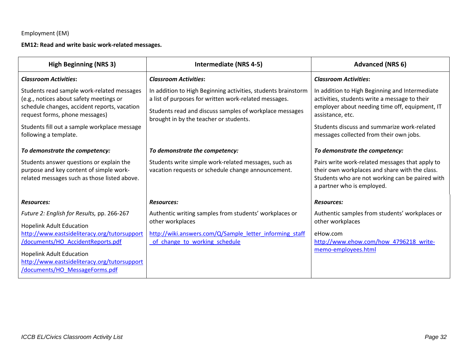#### **EM12: Read and write basic work-related messages.**

| <b>High Beginning (NRS 3)</b>                                                                                                                                                                                                                         | <b>Intermediate (NRS 4-5)</b>                                                                                                                                                                                               | <b>Advanced (NRS 6)</b>                                                                                                                                                                                                                                         |
|-------------------------------------------------------------------------------------------------------------------------------------------------------------------------------------------------------------------------------------------------------|-----------------------------------------------------------------------------------------------------------------------------------------------------------------------------------------------------------------------------|-----------------------------------------------------------------------------------------------------------------------------------------------------------------------------------------------------------------------------------------------------------------|
| <b>Classroom Activities:</b>                                                                                                                                                                                                                          | <b>Classroom Activities:</b>                                                                                                                                                                                                | <b>Classroom Activities:</b>                                                                                                                                                                                                                                    |
| Students read sample work-related messages<br>(e.g., notices about safety meetings or<br>schedule changes, accident reports, vacation<br>request forms, phone messages)<br>Students fill out a sample workplace message<br>following a template.      | In addition to High Beginning activities, students brainstorm<br>a list of purposes for written work-related messages.<br>Students read and discuss samples of workplace messages<br>brought in by the teacher or students. | In addition to High Beginning and Intermediate<br>activities, students write a message to their<br>employer about needing time off, equipment, IT<br>assistance, etc.<br>Students discuss and summarize work-related<br>messages collected from their own jobs. |
| To demonstrate the competency:                                                                                                                                                                                                                        | To demonstrate the competency:                                                                                                                                                                                              | To demonstrate the competency:                                                                                                                                                                                                                                  |
| Students answer questions or explain the<br>purpose and key content of simple work-<br>related messages such as those listed above.                                                                                                                   | Students write simple work-related messages, such as<br>vacation requests or schedule change announcement.                                                                                                                  | Pairs write work-related messages that apply to<br>their own workplaces and share with the class.<br>Students who are not working can be paired with<br>a partner who is employed.                                                                              |
| <b>Resources:</b>                                                                                                                                                                                                                                     | <b>Resources:</b>                                                                                                                                                                                                           | <b>Resources:</b>                                                                                                                                                                                                                                               |
| Future 2: English for Results, pp. 266-267<br><b>Hopelink Adult Education</b><br>http://www.eastsideliteracy.org/tutorsupport<br>/documents/HO AccidentReports.pdf<br><b>Hopelink Adult Education</b><br>http://www.eastsideliteracy.org/tutorsupport | Authentic writing samples from students' workplaces or<br>other workplaces<br>http://wiki.answers.com/Q/Sample letter informing staff<br>of change to working schedule                                                      | Authentic samples from students' workplaces or<br>other workplaces<br>eHow.com<br>http://www.ehow.com/how 4796218 write-<br>memo-employees.html                                                                                                                 |
| /documents/HO MessageForms.pdf                                                                                                                                                                                                                        |                                                                                                                                                                                                                             |                                                                                                                                                                                                                                                                 |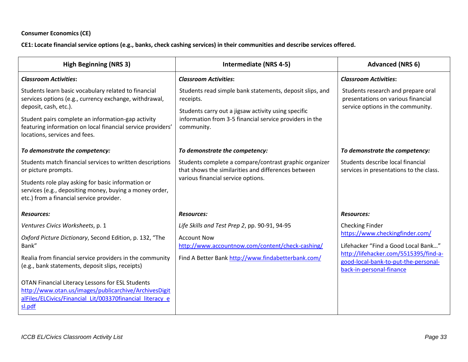#### **Consumer Economics (CE)**

**CE1: Locate financial service options (e.g., banks, check cashing services) in their communities and describe services offered.** 

| <b>High Beginning (NRS 3)</b>                                                                                                                                                                                                                                                                 | <b>Intermediate (NRS 4-5)</b>                                                                                                                                                                         | <b>Advanced (NRS 6)</b>                                                                                                                                                             |
|-----------------------------------------------------------------------------------------------------------------------------------------------------------------------------------------------------------------------------------------------------------------------------------------------|-------------------------------------------------------------------------------------------------------------------------------------------------------------------------------------------------------|-------------------------------------------------------------------------------------------------------------------------------------------------------------------------------------|
| <b>Classroom Activities:</b>                                                                                                                                                                                                                                                                  | <b>Classroom Activities:</b>                                                                                                                                                                          | <b>Classroom Activities:</b>                                                                                                                                                        |
| Students learn basic vocabulary related to financial<br>services options (e.g., currency exchange, withdrawal,<br>deposit, cash, etc.).<br>Student pairs complete an information-gap activity<br>featuring information on local financial service providers'<br>locations, services and fees. | Students read simple bank statements, deposit slips, and<br>receipts.<br>Students carry out a jigsaw activity using specific<br>information from 3-5 financial service providers in the<br>community. | Students research and prepare oral<br>presentations on various financial<br>service options in the community.                                                                       |
| To demonstrate the competency:                                                                                                                                                                                                                                                                | To demonstrate the competency:                                                                                                                                                                        | To demonstrate the competency:                                                                                                                                                      |
| Students match financial services to written descriptions<br>or picture prompts.<br>Students role play asking for basic information or<br>services (e.g., depositing money, buying a money order,<br>etc.) from a financial service provider.                                                 | Students complete a compare/contrast graphic organizer<br>that shows the similarities and differences between<br>various financial service options.                                                   | Students describe local financial<br>services in presentations to the class.                                                                                                        |
| <b>Resources:</b>                                                                                                                                                                                                                                                                             | <b>Resources:</b>                                                                                                                                                                                     | <b>Resources:</b>                                                                                                                                                                   |
| Ventures Civics Worksheets, p. 1                                                                                                                                                                                                                                                              | Life Skills and Test Prep 2, pp. 90-91, 94-95                                                                                                                                                         | <b>Checking Finder</b>                                                                                                                                                              |
| Oxford Picture Dictionary, Second Edition, p. 132, "The<br>Bank"<br>Realia from financial service providers in the community<br>(e.g., bank statements, deposit slips, receipts)                                                                                                              | <b>Account Now</b><br>http://www.accountnow.com/content/check-cashing/<br>Find A Better Bank http://www.findabetterbank.com/                                                                          | https://www.checkingfinder.com/<br>Lifehacker "Find a Good Local Bank"<br>http://lifehacker.com/5515395/find-a-<br>good-local-bank-to-put-the-personal-<br>back-in-personal-finance |
| OTAN Financial Literacy Lessons for ESL Students<br>http://www.otan.us/images/publicarchive/ArchivesDigit<br>alFiles/ELCivics/Financial Lit/003370financial literacy e<br>sl.pdf                                                                                                              |                                                                                                                                                                                                       |                                                                                                                                                                                     |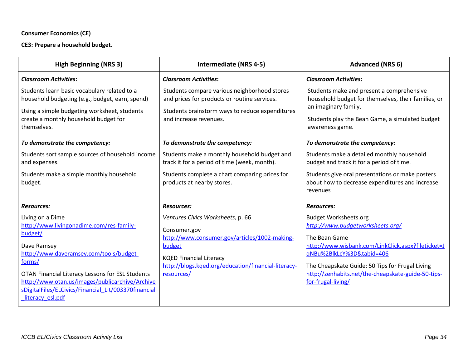# **Consumer Economics (CE)**

**CE3: Prepare a household budget.**

| <b>High Beginning (NRS 3)</b>                                                                                                                                                                                                                                                                                                         | <b>Intermediate (NRS 4-5)</b>                                                                                                                                                                                       | <b>Advanced (NRS 6)</b>                                                                                                                                                                                                                                                                             |
|---------------------------------------------------------------------------------------------------------------------------------------------------------------------------------------------------------------------------------------------------------------------------------------------------------------------------------------|---------------------------------------------------------------------------------------------------------------------------------------------------------------------------------------------------------------------|-----------------------------------------------------------------------------------------------------------------------------------------------------------------------------------------------------------------------------------------------------------------------------------------------------|
| <b>Classroom Activities:</b>                                                                                                                                                                                                                                                                                                          | <b>Classroom Activities:</b>                                                                                                                                                                                        | <b>Classroom Activities:</b>                                                                                                                                                                                                                                                                        |
| Students learn basic vocabulary related to a<br>household budgeting (e.g., budget, earn, spend)                                                                                                                                                                                                                                       | Students compare various neighborhood stores<br>and prices for products or routine services.                                                                                                                        | Students make and present a comprehensive<br>household budget for themselves, their families, or<br>an imaginary family.                                                                                                                                                                            |
| Using a simple budgeting worksheet, students<br>create a monthly household budget for<br>themselves.                                                                                                                                                                                                                                  | Students brainstorm ways to reduce expenditures<br>and increase revenues.                                                                                                                                           | Students play the Bean Game, a simulated budget<br>awareness game.                                                                                                                                                                                                                                  |
| To demonstrate the competency:                                                                                                                                                                                                                                                                                                        | To demonstrate the competency:                                                                                                                                                                                      | To demonstrate the competency:                                                                                                                                                                                                                                                                      |
| Students sort sample sources of household income<br>and expenses.                                                                                                                                                                                                                                                                     | Students make a monthly household budget and<br>track it for a period of time (week, month).                                                                                                                        | Students make a detailed monthly household<br>budget and track it for a period of time.                                                                                                                                                                                                             |
| Students make a simple monthly household<br>budget.                                                                                                                                                                                                                                                                                   | Students complete a chart comparing prices for<br>products at nearby stores.                                                                                                                                        | Students give oral presentations or make posters<br>about how to decrease expenditures and increase<br>revenues                                                                                                                                                                                     |
| <b>Resources:</b>                                                                                                                                                                                                                                                                                                                     | <b>Resources:</b>                                                                                                                                                                                                   | <b>Resources:</b>                                                                                                                                                                                                                                                                                   |
| Living on a Dime<br>http://www.livingonadime.com/res-family-<br>budget/<br>Dave Ramsey<br>http://www.daveramsey.com/tools/budget-<br>forms/<br><b>OTAN Financial Literacy Lessons for ESL Students</b><br>http://www.otan.us/images/publicarchive/Archive<br>sDigitalFiles/ELCivics/Financial Lit/003370financial<br>literacy esl.pdf | Ventures Civics Worksheets, p. 66<br>Consumer.gov<br>http://www.consumer.gov/articles/1002-making-<br>budget<br><b>KQED Financial Literacy</b><br>http://blogs.kqed.org/education/financial-literacy-<br>resources/ | <b>Budget Worksheets.org</b><br>http://www.budgetworksheets.org/<br>The Bean Game<br>http://www.wisbank.com/LinkClick.aspx?fileticket=J<br>qNBu%2BlkLcY%3D&tabid=406<br>The Cheapskate Guide: 50 Tips for Frugal Living<br>http://zenhabits.net/the-cheapskate-guide-50-tips-<br>for-frugal-living/ |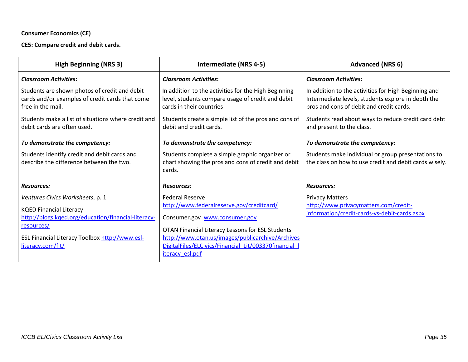## **Consumer Economics (CE)**

**CE5: Compare credit and debit cards.**

| <b>High Beginning (NRS 3)</b>                                                                                                                                                                                  | <b>Intermediate (NRS 4-5)</b>                                                                                                                                                                                                                                                          | <b>Advanced (NRS 6)</b>                                                                                                                                |
|----------------------------------------------------------------------------------------------------------------------------------------------------------------------------------------------------------------|----------------------------------------------------------------------------------------------------------------------------------------------------------------------------------------------------------------------------------------------------------------------------------------|--------------------------------------------------------------------------------------------------------------------------------------------------------|
| <b>Classroom Activities:</b>                                                                                                                                                                                   | <b>Classroom Activities:</b>                                                                                                                                                                                                                                                           | <b>Classroom Activities:</b>                                                                                                                           |
| Students are shown photos of credit and debit<br>cards and/or examples of credit cards that come<br>free in the mail.                                                                                          | In addition to the activities for the High Beginning<br>level, students compare usage of credit and debit<br>cards in their countries                                                                                                                                                  | In addition to the activities for High Beginning and<br>Intermediate levels, students explore in depth the<br>pros and cons of debit and credit cards. |
| Students make a list of situations where credit and<br>debit cards are often used.                                                                                                                             | Students create a simple list of the pros and cons of<br>debit and credit cards.                                                                                                                                                                                                       | Students read about ways to reduce credit card debt<br>and present to the class.                                                                       |
| To demonstrate the competency:                                                                                                                                                                                 | To demonstrate the competency:                                                                                                                                                                                                                                                         | To demonstrate the competency:                                                                                                                         |
| Students identify credit and debit cards and<br>describe the difference between the two.                                                                                                                       | Students complete a simple graphic organizer or<br>chart showing the pros and cons of credit and debit<br>cards.                                                                                                                                                                       | Students make individual or group presentations to<br>the class on how to use credit and debit cards wisely.                                           |
| <b>Resources:</b>                                                                                                                                                                                              | <b>Resources:</b>                                                                                                                                                                                                                                                                      | <b>Resources:</b>                                                                                                                                      |
| Ventures Civics Worksheets, p. 1<br><b>KQED Financial Literacy</b><br>http://blogs.kqed.org/education/financial-literacy-<br>resources/<br>ESL Financial Literacy Toolbox http://www.esl-<br>literacy.com/flt/ | <b>Federal Reserve</b><br>http://www.federalreserve.gov/creditcard/<br>Consumer.gov www.consumer.gov<br>OTAN Financial Literacy Lessons for ESL Students<br>http://www.otan.us/images/publicarchive/Archives<br>DigitalFiles/ELCivics/Financial Lit/003370financial<br>iteracy esl.pdf | <b>Privacy Matters</b><br>http://www.privacymatters.com/credit-<br>information/credit-cards-vs-debit-cards.aspx                                        |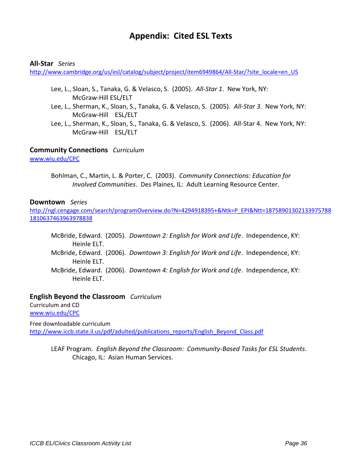# **Appendix: Cited ESL Texts**

#### **All-Star** *Series*

[http://www.cambridge.org/us/esl/catalog/subject/project/item6949864/All-Star/?site\\_locale=en\\_US](http://www.cambridge.org/us/esl/catalog/subject/project/item6949864/All-Star/?site_locale=en_US)

- Lee, L., Sloan, S., Tanaka, G. & Velasco, S. (2005). *All-Star 1*. New York, NY: McGraw-Hill ESL/ELT
- Lee, L., Sherman, K., Sloan, S., Tanaka, G. & Velasco, S. (2005). *All-Star 3*. New York, NY: McGraw-Hill ESL/ELT
- Lee, L., Sherman, K., Sloan, S., Tanaka, G. & Velasco, S. (2006). All-Star 4. New York, NY: McGraw-Hill ESL/ELT

#### **Community Connections** *Curriculum*

[www.wiu.edu/CPC](http://www.wiu.edu/CPC)

Bohlman, C., Martin, L. & Porter, C. (2003). *Community Connections: Education for Involved Communities*. Des Plaines, IL: Adult Learning Resource Center.

#### **Downtown** *Series*

[http://ngl.cengage.com/search/programOverview.do?N=4294918395+&Ntk=P\\_EPI&Ntt=18758901302133975788](http://ngl.cengage.com/search/programOverview.do?N=4294918395+&Ntk=P_EPI&Ntt=187589013021339757881810637463963978838) [1810637463963978838](http://ngl.cengage.com/search/programOverview.do?N=4294918395+&Ntk=P_EPI&Ntt=187589013021339757881810637463963978838)

- McBride, Edward. (2005). *Downtown 2: English for Work and Life*. Independence, KY: Heinle ELT.
- McBride, Edward. (2006). *Downtown 3: English for Work and Life*. Independence, KY: Heinle ELT.
- McBride, Edward. (2006). *Downtown 4: English for Work and Life*. Independence, KY: Heinle ELT.

#### **English Beyond the Classroom** *Curriculum*

Curriculum and CD [www.wiu.edu/CPC](http://www.wiu.edu/CPC)

Free downloadable curriculum [http://www.iccb.state.il.us/pdf/adulted/publications\\_reports/English\\_Beyond\\_Class.pdf](http://www.iccb.state.il.us/pdf/adulted/publications_reports/English_Beyond_Class.pdf)

LEAF Program. *English Beyond the Classroom: Community-Based Tasks for ESL Students*. Chicago, IL: Asian Human Services.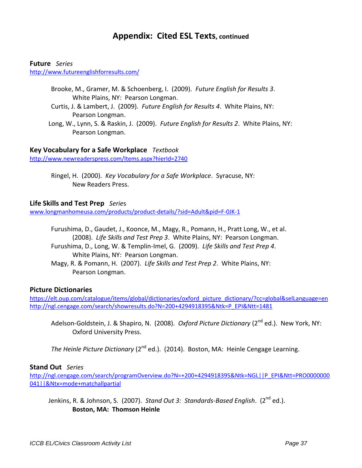# **Appendix: Cited ESL Texts, continued**

#### **Future** *Series*

<http://www.futureenglishforresults.com/>

- Brooke, M., Gramer, M. & Schoenberg, I. (2009). *Future English for Results 3*. White Plains, NY: Pearson Longman.
- Curtis, J. & Lambert, J. (2009). *Future English for Results 4*. White Plains, NY: Pearson Longman.
- Long, W., Lynn, S. & Raskin, J. (2009). *Future English for Results 2*. White Plains, NY: Pearson Longman.

#### **Key Vocabulary for a Safe Workplace** *Textbook*

<http://www.newreaderspress.com/Items.aspx?hierId=2740>

Ringel, H. (2000). *Key Vocabulary for a Safe Workplace*. Syracuse, NY: New Readers Press.

#### **Life Skills and Test Prep** *Serie*s

[www.longmanhomeusa.com/products/product-details/?sid=Adult&pid=F-0JK-1](http://www.longmanhomeusa.com/products/product-details/?sid=Adult&pid=F-0JK-1)

- Furushima, D., Gaudet, J., Koonce, M., Magy, R., Pomann, H., Pratt Long, W., et al. (2008). *Life Skills and Test Prep 3*. White Plains, NY: Pearson Longman.
- Furushima, D., Long, W. & Templin-Imel, G. (2009). *Life Skills and Test Prep 4*. White Plains, NY: Pearson Longman.
- Magy, R. & Pomann, H. (2007). *Life Skills and Test Prep 2*. White Plains, NY: Pearson Longman.

#### **Picture Dictionaries**

[https://elt.oup.com/catalogue/items/global/dictionaries/oxford\\_picture\\_dictionary/?cc=global&selLanguage=en](https://elt.oup.com/catalogue/items/global/dictionaries/oxford_picture_dictionary/?cc=global&selLanguage=en) [http://ngl.cengage.com/search/showresults.do?N=200+4294918395&Ntk=P\\_EPI&Ntt=1481](http://ngl.cengage.com/search/showresults.do?N=200+4294918395&Ntk=P_EPI&Ntt=1481)

Adelson-Goldstein, J. & Shapiro, N. (2008). *Oxford Picture Dictionary* (2<sup>nd</sup> ed.). New York, NY: Oxford University Press.

*The Heinle Picture Dictionary* (2<sup>nd</sup> ed.). (2014). Boston, MA: Heinle Cengage Learning.

#### **Stand Out** *Series*

[http://ngl.cengage.com/search/programOverview.do?N=+200+4294918395&Ntk=NGL||P\\_EPI&Ntt=PRO0000000](http://ngl.cengage.com/search/programOverview.do?N=+200+4294918395&Ntk=NGL||P_EPI&Ntt=PRO0000000041||&Ntx=mode+matchallpartial) [041||&Ntx=mode+matchallpartial](http://ngl.cengage.com/search/programOverview.do?N=+200+4294918395&Ntk=NGL||P_EPI&Ntt=PRO0000000041||&Ntx=mode+matchallpartial)

Jenkins, R. & Johnson, S. (2007). *Stand Out 3: Standards-Based English*. (2nd ed.). **Boston, MA: Thomson Heinle**